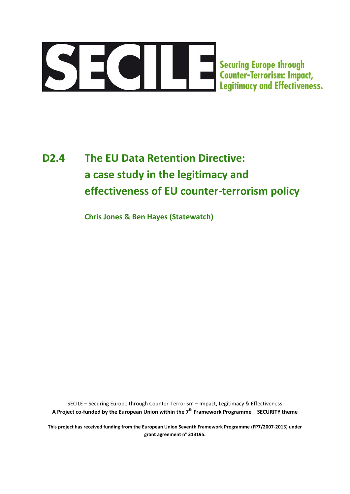

# **D2.4 The EU Data Retention Directive: a case study in the legitimacy and effectiveness of EU counter-terrorism policy**

**Chris Jones & Ben Hayes (Statewatch)**

SECILE – Securing Europe through Counter-Terrorism – Impact, Legitimacy & Effectiveness **A Project co-funded by the European Union within the 7th Framework Programme – SECURITY theme**

**This project has received funding from the European Union Seventh Framework Programme (FP7/2007-2013) under grant agreement n° 313195.**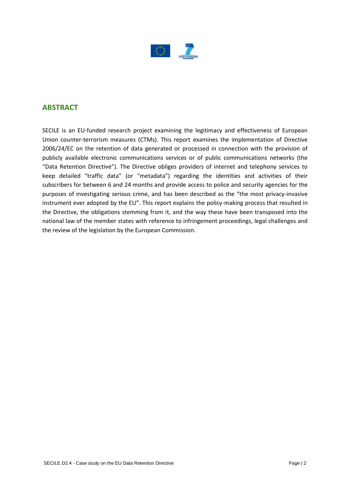

# **ABSTRACT**

SECILE is an EU-funded research project examining the legitimacy and effectiveness of European Union counter-terrorism measures (CTMs). This report examines the implementation of Directive 2006/24/EC on the retention of data generated or processed in connection with the provision of publicly available electronic communications services or of public communications networks (the "Data Retention Directive"). The Directive obliges providers of internet and telephony services to keep detailed "traffic data" (or "metadata") regarding the identities and activities of their subscribers for between 6 and 24 months and provide access to police and security agencies for the purposes of investigating serious crime, and has been described as the "the most privacy-invasive instrument ever adopted by the EU". This report explains the policy-making process that resulted in the Directive, the obligations stemming from it, and the way these have been transposed into the national law of the member states with reference to infringement proceedings, legal challenges and the review of the legislation by the European Commission.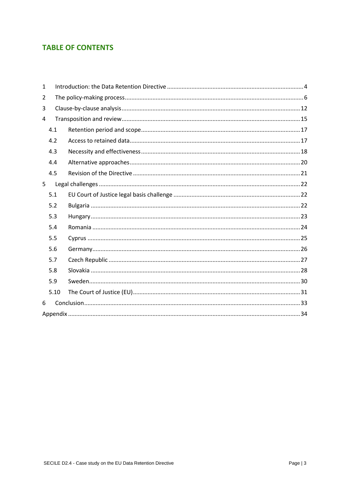# **TABLE OF CONTENTS**

| $\mathbf{1}$ |      |  |  |  |  |
|--------------|------|--|--|--|--|
| 2            |      |  |  |  |  |
| 3            |      |  |  |  |  |
| 4            |      |  |  |  |  |
|              | 4.1  |  |  |  |  |
|              | 4.2  |  |  |  |  |
|              | 4.3  |  |  |  |  |
|              | 4.4  |  |  |  |  |
|              | 4.5  |  |  |  |  |
| 5            |      |  |  |  |  |
|              | 5.1  |  |  |  |  |
|              | 5.2  |  |  |  |  |
|              | 5.3  |  |  |  |  |
|              | 5.4  |  |  |  |  |
|              | 5.5  |  |  |  |  |
|              | 5.6  |  |  |  |  |
|              | 5.7  |  |  |  |  |
|              | 5.8  |  |  |  |  |
|              | 5.9  |  |  |  |  |
|              | 5.10 |  |  |  |  |
| 6            |      |  |  |  |  |
|              |      |  |  |  |  |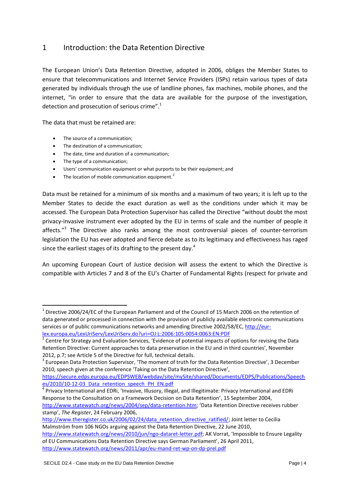## <span id="page-3-0"></span>1 Introduction: the Data Retention Directive

The European Union's Data Retention Directive, adopted in 2006, obliges the Member States to ensure that telecommunications and Internet Service Providers (ISPs) retain various types of data generated by individuals through the use of landline phones, fax machines, mobile phones, and the internet, "in order to ensure that the data are available for the purpose of the investigation, detection and prosecution of serious crime".<sup>1</sup>

The data that must be retained are:

- The source of a communication;
- The destination of a communication;
- The date, time and duration of a communication;
- The type of a communication;

**.** 

- Users' communication equipment or what purports to be their equipment; and
- The location of mobile communication equipment.<sup>2</sup>

Data must be retained for a minimum of six months and a maximum of two years; it is left up to the Member States to decide the exact duration as well as the conditions under which it may be accessed. The European Data Protection Supervisor has called the Directive "without doubt the most privacy-invasive instrument ever adopted by the EU in terms of scale and the number of people it affects."<sup>3</sup> The Directive also ranks among the most controversial pieces of counter-terrorism legislation the EU has ever adopted and fierce debate as to its legitimacy and effectiveness has raged since the earliest stages of its drafting to the present day.<sup>4</sup>

An upcoming European Court of Justice decision will assess the extent to which the Directive is compatible with Articles 7 and 8 of the EU's Charter of Fundamental Rights (respect for private and

 $^1$  Directive 2006/24/EC of the European Parliament and of the Council of 15 March 2006 on the retention of data generated or processed in connection with the provision of publicly available electronic communications services or of public communications networks and amending Directive 2002/58/EC, [http://eur](http://eur-lex.europa.eu/LexUriServ/LexUriServ.do?uri=OJ:L:2006:105:0054:0063:EN:PDF)[lex.europa.eu/LexUriServ/LexUriServ.do?uri=OJ:L:2006:105:0054:0063:EN:PDF](http://eur-lex.europa.eu/LexUriServ/LexUriServ.do?uri=OJ:L:2006:105:0054:0063:EN:PDF)

<sup>&</sup>lt;sup>2</sup> Centre for Strategy and Evaluation Services, 'Evidence of potential impacts of options for revising the Data Retention Directive: Current approaches to data preservation in the EU and in third countries', November 2012, p.7; see Article 5 of the Directive for full, technical details.

<sup>&</sup>lt;sup>3</sup> European Data Protection Supervisor, 'The moment of truth for the Data Retention Directive', 3 December 2010, speech given at the conference 'Taking on the Data Retention Directive',

[https://secure.edps.europa.eu/EDPSWEB/webdav/site/mySite/shared/Documents/EDPS/Publications/Speech](https://secure.edps.europa.eu/EDPSWEB/webdav/site/mySite/shared/Documents/EDPS/Publications/Speeches/2010/10-12-03_Data_retention_speech_PH_EN.pdf) [es/2010/10-12-03\\_Data\\_retention\\_speech\\_PH\\_EN.pdf](https://secure.edps.europa.eu/EDPSWEB/webdav/site/mySite/shared/Documents/EDPS/Publications/Speeches/2010/10-12-03_Data_retention_speech_PH_EN.pdf)

<sup>4</sup> Privacy International and EDRi, 'Invasive, Illusory, Illegal, and Illegitimate: Privacy International and EDRi Response to the Consultation on a Framework Decision on Data Retention', 15 September 2004, <http://www.statewatch.org/news/2004/sep/data-retention.htm>; 'Data Retention Directive receives rubber stamp', *The Register*, 24 February 2006,

[http://www.theregister.co.uk/2006/02/24/data\\_retention\\_directive\\_ratified/;](http://www.theregister.co.uk/2006/02/24/data_retention_directive_ratified/) Joint letter to Cecilia Malmström from 106 NGOs arguing against the Data Retention Directive, 22 June 2010,

<http://www.statewatch.org/news/2010/jun/ngo-dataret-letter.pdf>; AK Vorrat, 'Impossible to Ensure Legality of EU Communications Data Retention Directive says German Parliament', 26 April 2011, <http://www.statewatch.org/news/2011/apr/eu-mand-ret-wp-on-dp-prel.pdf>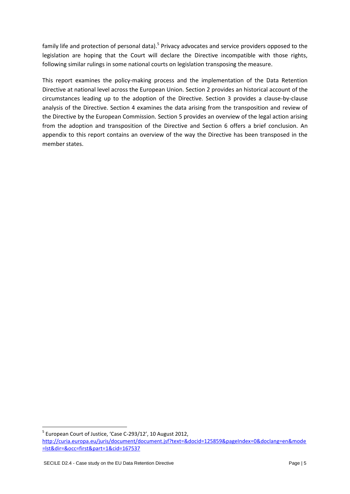family life and protection of personal data).<sup>5</sup> Privacy advocates and service providers opposed to the legislation are hoping that the Court will declare the Directive incompatible with those rights, following similar rulings in some national courts on legislation transposing the measure.

This report examines the policy-making process and the implementation of the Data Retention Directive at national level across the European Union. Section 2 provides an historical account of the circumstances leading up to the adoption of the Directive. Section 3 provides a clause-by-clause analysis of the Directive. Section 4 examines the data arising from the transposition and review of the Directive by the European Commission. Section 5 provides an overview of the legal action arising from the adoption and transposition of the Directive and Section 6 offers a brief conclusion. An appendix to this report contains an overview of the way the Directive has been transposed in the member states.

<sup>&</sup>lt;sup>5</sup> European Court of Justice, 'Case C-293/12', 10 August 2012,

[http://curia.europa.eu/juris/document/document.jsf?text=&docid=125859&pageIndex=0&doclang=en&mode](http://curia.europa.eu/juris/document/document.jsf?text=&docid=125859&pageIndex=0&doclang=en&mode=lst&dir=&occ=first&part=1&cid=167537) [=lst&dir=&occ=first&part=1&cid=167537](http://curia.europa.eu/juris/document/document.jsf?text=&docid=125859&pageIndex=0&doclang=en&mode=lst&dir=&occ=first&part=1&cid=167537)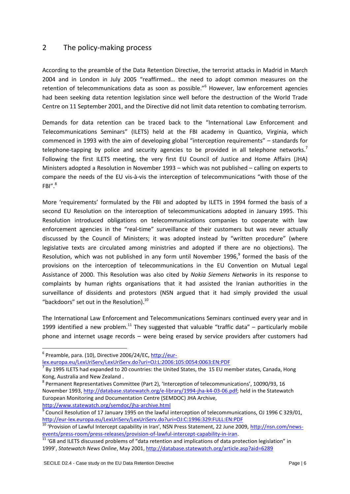## <span id="page-5-0"></span>2 The policy-making process

According to the preamble of the Data Retention Directive, the terrorist attacks in Madrid in March 2004 and in London in July 2005 "reaffirmed… the need to adopt common measures on the retention of telecommunications data as soon as possible."<sup>6</sup> However, law enforcement agencies had been seeking data retention legislation since well before the destruction of the World Trade Centre on 11 September 2001, and the Directive did not limit data retention to combating terrorism.

Demands for data retention can be traced back to the "International Law Enforcement and Telecommunications Seminars" (ILETS) held at the FBI academy in Quantico, Virginia, which commenced in 1993 with the aim of developing global "interception requirements" – standards for telephone-tapping by police and security agencies to be provided in all telephone networks.<sup>7</sup> Following the first ILETS meeting, the very first EU Council of Justice and Home Affairs (JHA) Ministers adopted a Resolution in November 1993 – which was not published – calling on experts to compare the needs of the EU vis-à-vis the interception of telecommunications "with those of the  $FBI''$ .<sup>8</sup>

More 'requirements' formulated by the FBI and adopted by ILETS in 1994 formed the basis of a second EU Resolution on the interception of telecommunications adopted in January 1995. This Resolution introduced obligations on telecommunications companies to cooperate with law enforcement agencies in the "real-time" surveillance of their customers but was never actually discussed by the Council of Ministers; it was adopted instead by "written procedure" (where legislative texts are circulated among ministries and adopted if there are no objections). The Resolution, which was not published in any form until November 1996,<sup>9</sup> formed the basis of the provisions on the interception of telecommunications in the EU Convention on Mutual Legal Assistance of 2000. This Resolution was also cited by *Nokia Siemens Networks* in its response to complaints by human rights organisations that it had assisted the Iranian authorities in the surveillance of dissidents and protestors (NSN argued that it had simply provided the usual "backdoors" set out in the Resolution).<sup>10</sup>

The International Law Enforcement and Telecommunications Seminars continued every year and in 1999 identified a new problem.<sup>11</sup> They suggested that valuable "traffic data" – particularly mobile phone and internet usage records – were being erased by service providers after customers had

 $\overline{a}$ 

[lex.europa.eu/LexUriServ/LexUriServ.do?uri=OJ:L:2006:105:0054:0063:EN:PDF](http://eur-lex.europa.eu/LexUriServ/LexUriServ.do?uri=OJ:L:2006:105:0054:0063:EN:PDF)

<sup>&</sup>lt;sup>6</sup> Preamble, para. (10), Directive 2006/24/EC, [http://eur-](http://eur-lex.europa.eu/LexUriServ/LexUriServ.do?uri=OJ:L:2006:105:0054:0063:EN:PDF)

 $^7$  By 1995 ILETS had expanded to 20 countries: the United States, the 15 EU member states, Canada, Hong Kong, Australia and New Zealand .

<sup>8</sup> Permanent Representatives Committee (Part 2), 'Interception of telecommunications', 10090/93, 16 November 1993, [http://database.statewatch.org/e-library/1994-jha-k4-03-06.pdf;](http://database.statewatch.org/e-library/1994-jha-k4-03-06.pdf) held in the Statewatch European Monitoring and Documentation Centre (SEMDOC) JHA Archive,

<http://www.statewatch.org/semdoc/jha-archive.html><br>9 Council Becolution of 17 January 1005 on the lough!  $\beta$  Council Resolution of 17 January 1995 on the lawful interception of telecommunications, OJ 1996 C 329/01, <http://eur-lex.europa.eu/LexUriServ/LexUriServ.do?uri=OJ:C:1996:329:FULL:EN:PDF>

<sup>&</sup>lt;sup>10</sup> 'Provision of Lawful Intercept capability in Iran', NSN Press Statement, 22 June 2009, [http://nsn.com/news](http://nsn.com/news-events/press-room/press-releases/provision-of-lawful-intercept-capability-in-iran)[events/press-room/press-releases/provision-of-lawful-intercept-capability-in-iran.](http://nsn.com/news-events/press-room/press-releases/provision-of-lawful-intercept-capability-in-iran)

 $11$  'G8 and ILETS discussed problems of "data retention and implications of data protection legislation" in 1999', *Statewatch News Online*, May 2001[, http://database.statewatch.org/article.asp?aid=6289](http://database.statewatch.org/article.asp?aid=6289)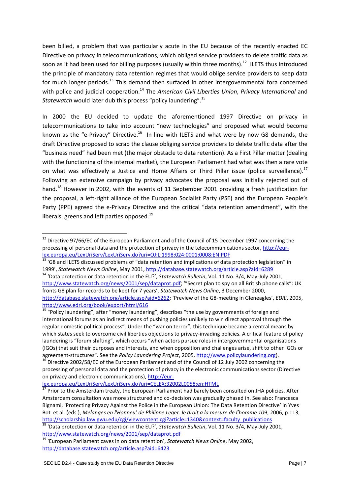been billed, a problem that was particularly acute in the EU because of the recently enacted EC Directive on privacy in telecommunications, which obliged service providers to delete traffic data as soon as it had been used for billing purposes (usually within three months).<sup>12</sup> ILETS thus introduced the principle of mandatory data retention regimes that would oblige service providers to keep data for much longer periods.<sup>13</sup> This demand then surfaced in other intergovernmental fora concerned with police and judicial cooperation.<sup>14</sup> The *American Civil Liberties Union, Privacy International* and *Statewatch* would later dub this process "policy laundering".<sup>15</sup>

In 2000 the EU decided to update the aforementioned 1997 Directive on privacy in telecommunications to take into account "new technologies" and proposed what would become known as the "e-Privacy" Directive.<sup>16</sup> In line with ILETS and what were by now G8 demands, the draft Directive proposed to scrap the clause obliging service providers to delete traffic data after the "business need" had been met (the major obstacle to data retention). As a First Pillar matter (dealing with the functioning of the internal market), the European Parliament had what was then a rare vote on what was effectively a Justice and Home Affairs or Third Pillar issue (police surveillance).<sup>17</sup> Following an extensive campaign by privacy advocates the proposal was initially rejected out of hand.<sup>18</sup> However in 2002, with the events of 11 September 2001 providing a fresh justification for the proposal, a left-right alliance of the European Socialist Party (PSE) and the European People's Party (PPE) agreed the e-Privacy Directive and the critical "data retention amendment", with the liberals, greens and left parties opposed. $^{19}$ 

#### [lex.europa.eu/LexUriServ/LexUriServ.do?uri=CELEX:32002L0058:en:HTML](http://eur-lex.europa.eu/LexUriServ/LexUriServ.do?uri=CELEX:32002L0058:en:HTML)

 $12$  Directive 97/66/EC of the European Parliament and of the Council of 15 December 1997 concerning the processing of personal data and the protection of privacy in the telecommunications sector, [http://eur](http://eur-lex.europa.eu/LexUriServ/LexUriServ.do?uri=OJ:L:1998:024:0001:0008:EN:PDF)[lex.europa.eu/LexUriServ/LexUriServ.do?uri=OJ:L:1998:024:0001:0008:EN:PDF](http://eur-lex.europa.eu/LexUriServ/LexUriServ.do?uri=OJ:L:1998:024:0001:0008:EN:PDF) 

<sup>&</sup>lt;sup>13</sup> 'G8 and ILETS discussed problems of "data retention and implications of data protection legislation" in 1999', *Statewatch News Online*, May 2001[, http://database.statewatch.org/article.asp?aid=6289](http://database.statewatch.org/article.asp?aid=6289)

<sup>14</sup> 'Data protection or data retention in the EU?', *Statewatch Bulletin*, Vol. 11 No. 3/4, May-July 2001, [http://www.statewatch.org/news/2001/sep/dataprot.pdf;](http://www.statewatch.org/news/2001/sep/dataprot.pdf) "'Secret plan to spy on all British phone calls": UK fronts G8 plan for records to be kept for 7 years', *Statewatch News Online*, 3 December 2000, <http://database.statewatch.org/article.asp?aid=6262>; 'Preview of the G8-meeting in Gleneagles', *EDRi*, 2005, <http://www.edri.org/book/export/html/616>

<sup>&</sup>lt;sup>15</sup> "Policy laundering", after "money laundering", describes "the use by governments of foreign and international forums as an indirect means of pushing policies unlikely to win direct approval through the regular domestic political process". Under the "war on terror", this technique became a central means by which states seek to overcome civil liberties objections to privacy-invading policies. A critical feature of policy laundering is "forum shifting", which occurs "when actors pursue roles in intergovernmental organisations (IGOs) that suit their purposes and interests, and when opposition and challenges arise, shift to other IGOs or agreement-structures". See the *Policy Laundering Project*, 2005, [http://www.policylaundering.org\)](http://www.policylaundering.org/).

<sup>16</sup> Directive 2002/58/EC of the European Parliament and of the Council of 12 July 2002 concerning the processing of personal data and the protection of privacy in the electronic communications sector (Directive on privacy and electronic communications), [http://eur-](http://eur-lex.europa.eu/LexUriServ/LexUriServ.do?uri=CELEX:32002L0058:en:HTML)

Prior to the Amsterdam treaty, the European Parliament had barely been consulted on JHA policies. After Amsterdam consultation was more structured and co-decision was gradually phased in. See also: Francesca Bignami, 'Protecting Privacy Against the Police in the European Union: The Data Retention Directive' in Yves Bot et al. (eds.), *Melanges en l'Honneu' de Philippe Leger: le droit a la mesure de l'homme 109*, 2006, p.113, [http://scholarship.law.gwu.edu/cgi/viewcontent.cgi?article=1340&context=faculty\\_publications](http://scholarship.law.gwu.edu/cgi/viewcontent.cgi?article=1340&context=faculty_publications)

<sup>18</sup> 'Data protection or data retention in the EU?', *Statewatch Bulletin*, Vol. 11 No. 3/4, May-July 2001, <http://www.statewatch.org/news/2001/sep/dataprot.pdf>

<sup>19</sup> 'European Parliament caves in on data retention', *Statewatch News Online*, May 2002, <http://database.statewatch.org/article.asp?aid=6423>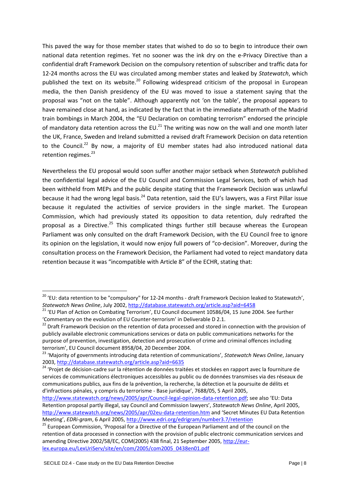This paved the way for those member states that wished to do so to begin to introduce their own national data retention regimes. Yet no sooner was the ink dry on the e-Privacy Directive than a confidential draft Framework Decision on the compulsory retention of subscriber and traffic data for 12-24 months across the EU was circulated among member states and leaked by *Statewatch*, which published the text on its website.<sup>20</sup> Following widespread criticism of the proposal in European media, the then Danish presidency of the EU was moved to issue a statement saying that the proposal was "not on the table". Although apparently not 'on the table', the proposal appears to have remained close at hand, as indicated by the fact that in the immediate aftermath of the Madrid train bombings in March 2004, the "EU Declaration on combating terrorism" endorsed the principle of mandatory data retention across the EU.<sup>21</sup> The writing was now on the wall and one month later the UK, France, Sweden and Ireland submitted a revised draft Framework Decision on data retention to the Council.<sup>22</sup> By now, a majority of EU member states had also introduced national data retention regimes.<sup>23</sup>

Nevertheless the EU proposal would soon suffer another major setback when *Statewatch* published the confidential legal advice of the EU Council and Commission Legal Services, both of which had been withheld from MEPs and the public despite stating that the Framework Decision was unlawful because it had the wrong legal basis.<sup>24</sup> Data retention, said the EU's lawyers, was a First Pillar issue because it regulated the activities of service providers in the single market. The European Commission, which had previously stated its opposition to data retention, duly redrafted the proposal as a Directive.<sup>25</sup> This complicated things further still because whereas the European Parliament was only consulted on the draft Framework Decision, with the EU Council free to ignore its opinion on the legislation, it would now enjoy full powers of "co-decision". Moreover, during the consultation process on the Framework Decision, the Parliament had voted to reject mandatory data retention because it was "incompatible with Article 8" of the ECHR, stating that:

<sup>&</sup>lt;sup>20</sup> 'EU: data retention to be "compulsory" for 12-24 months - draft Framework Decision leaked to Statewatch', *Statewatch News Online*, July 2002[, http://database.statewatch.org/article.asp?aid=6458](http://database.statewatch.org/article.asp?aid=6458)

<sup>&</sup>lt;sup>21</sup> 'EU Plan of Action on Combating Terrorism', EU Council document 10586/04, 15 June 2004. See further 'Commentary on the evolution of EU Counter-terrorism' in Deliverable D 2.1.

<sup>&</sup>lt;sup>22</sup> Draft Framework Decision on the retention of data processed and stored in connection with the provision of publicly available electronic communications services or data on public communications networks for the purpose of prevention, investigation, detection and prosecution of crime and criminal offences including terrorism', EU Council document 8958/04, 20 December 2004.

<sup>23</sup> 'Majority of governments introducing data retention of communications', *Statewatch News Online*, January 2003,<http://database.statewatch.org/article.asp?aid=6635>

<sup>&</sup>lt;sup>24</sup> 'Proiet de décision-cadre sur la rétention de données traitées et stockées en rapport avec la fourniture de services de communications électroniques accessibles au public ou de données transmises via des réseaux de communications publics, aux fins de la prévention, la recherche, la détection et la poursuite de délits et d'infractions pénales, y compris du terrorisme - Base juridique', 7688/05, 5 April 2005,

[http://www.statewatch.org/news/2005/apr/Council-legal-opinion-data-retention.pdf;](http://www.statewatch.org/news/2005/apr/Council-legal-opinion-data-retention.pdf) see also 'EU: Data Retention proposal partly illegal, say Council and Commission lawyers', *Statewatch News Online*, April 2005, <http://www.statewatch.org/news/2005/apr/02eu-data-retention.htm> and 'Secret Minutes EU Data Retention Meeting', *EDRi-gram*, 6 April 2005,<http://www.edri.org/edrigram/number3.7/retention>

<sup>&</sup>lt;sup>25</sup> European Commission, 'Proposal for a Directive of the European Parliament and of the council on the retention of data processed in connection with the provision of public electronic communication services and amending Directive 2002/58/EC, COM(2005) 438 final, 21 September 2005, [http://eur](http://eur-lex.europa.eu/LexUriServ/site/en/com/2005/com2005_0438en01.pdf)[lex.europa.eu/LexUriServ/site/en/com/2005/com2005\\_0438en01.pdf](http://eur-lex.europa.eu/LexUriServ/site/en/com/2005/com2005_0438en01.pdf)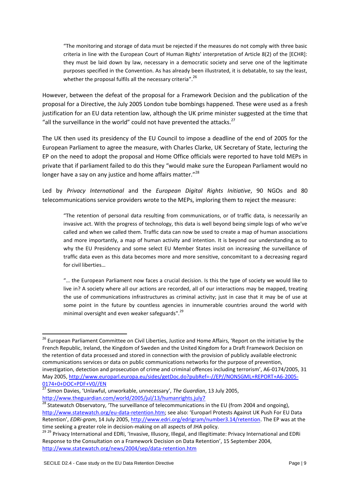"The monitoring and storage of data must be rejected if the measures do not comply with three basic criteria in line with the European Court of Human Rights' interpretation of Article 8(2) of the [ECHR]: they must be laid down by law, necessary in a democratic society and serve one of the legitimate purposes specified in the Convention. As has already been illustrated, it is debatable, to say the least, whether the proposal fulfils all the necessary criteria".<sup>26</sup>

However, between the defeat of the proposal for a Framework Decision and the publication of the proposal for a Directive, the July 2005 London tube bombings happened. These were used as a fresh justification for an EU data retention law, although the UK prime minister suggested at the time that "all the surveillance in the world" could not have prevented the attacks. $^{27}$ 

The UK then used its presidency of the EU Council to impose a deadline of the end of 2005 for the European Parliament to agree the measure, with Charles Clarke, UK Secretary of State, lecturing the EP on the need to adopt the proposal and Home Office officials were reported to have told MEPs in private that if parliament failed to do this they "would make sure the European Parliament would no longer have a say on any justice and home affairs matter."<sup>28</sup>

Led by *Privacy International* and the *European Digital Rights Initiative*, 90 NGOs and 80 telecommunications service providers wrote to the MEPs, imploring them to reject the measure:

"The retention of personal data resulting from communications, or of traffic data, is necessarily an invasive act. With the progress of technology, this data is well beyond being simple logs of who we've called and when we called them. Traffic data can now be used to create a map of human associations and more importantly, a map of human activity and intention. It is beyond our understanding as to why the EU Presidency and some select EU Member States insist on increasing the surveillance of traffic data even as this data becomes more and more sensitive, concomitant to a decreasing regard for civil liberties…

"… the European Parliament now faces a crucial decision. Is this the type of society we would like to live in? A society where all our actions are recorded, all of our interactions may be mapped, treating the use of communications infrastructures as criminal activity; just in case that it may be of use at some point in the future by countless agencies in innumerable countries around the world with minimal oversight and even weaker safeguards".<sup>29</sup>

<sup>1</sup> <sup>26</sup> European Parliament Committee on Civil Liberties, Justice and Home Affairs, 'Report on the initiative by the French Republic, Ireland, the Kingdom of Sweden and the United Kingdom for a Draft Framework Decision on the retention of data processed and stored in connection with the provision of publicly available electronic communications services or data on public communications networks for the purpose of prevention, investigation, detection and prosecution of crime and criminal offences including terrorism', A6-0174/2005, 31 May 2005, [http://www.europarl.europa.eu/sides/getDoc.do?pubRef=-//EP//NONSGML+REPORT+A6-2005-](http://www.europarl.europa.eu/sides/getDoc.do?pubRef=-//EP//NONSGML+REPORT+A6-2005-0174+0+DOC+PDF+V0//EN) [0174+0+DOC+PDF+V0//EN](http://www.europarl.europa.eu/sides/getDoc.do?pubRef=-//EP//NONSGML+REPORT+A6-2005-0174+0+DOC+PDF+V0//EN)

<sup>27</sup> Simon Davies, 'Unlawful, unworkable, unnecessary', *The Guardian*, 13 July 2005, <http://www.theguardian.com/world/2005/jul/13/humanrights.july7>

<sup>28</sup> Statewatch Observatory, 'The surveillance of telecommunications in the EU (from 2004 and ongoing), <http://www.statewatch.org/eu-data-retention.htm>; see also: 'Europarl Protests Against UK Push For EU Data Retention', *EDRi-gram*, 14 July 2005[, http://www.edri.org/edrigram/number3.14/retention.](http://www.edri.org/edrigram/number3.14/retention) The EP was at the time seeking a greater role in decision-making on all aspects of JHA policy.

<sup>&</sup>lt;sup>29 29</sup> Privacy International and EDRi, 'Invasive, Illusory, Illegal, and Illegitimate: Privacy International and EDRi Response to the Consultation on a Framework Decision on Data Retention', 15 September 2004, <http://www.statewatch.org/news/2004/sep/data-retention.htm>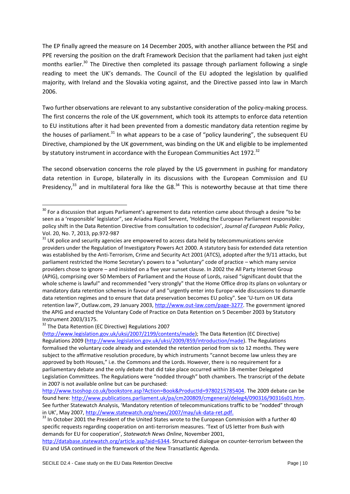The EP finally agreed the measure on 14 December 2005, with another alliance between the PSE and PPE reversing the position on the draft Framework Decision that the parliament had taken just eight months earlier.<sup>30</sup> The Directive then completed its passage through parliament following a single reading to meet the UK's demands. The Council of the EU adopted the legislation by qualified majority, with Ireland and the Slovakia voting against, and the Directive passed into law in March 2006.

Two further observations are relevant to any substantive consideration of the policy-making process. The first concerns the role of the UK government, which took its attempts to enforce data retention to EU institutions after it had been prevented from a domestic mandatory data retention regime by the houses of parliament.<sup>31</sup> In what appears to be a case of "policy laundering", the subsequent EU Directive, championed by the UK government, was binding on the UK and eligible to be implemented by statutory instrument in accordance with the European Communities Act 1972.<sup>32</sup>

The second observation concerns the role played by the US government in pushing for mandatory data retention in Europe, bilaterally in its discussions with the European Commission and EU Presidency, $33$  and in multilateral fora like the G8. $34$  This is noteworthy because at that time there

<sup>32</sup> The Data Retention (EC Directive) Regulations 2007

<sup>&</sup>lt;sup>30</sup> For a discussion that argues Parliament's agreement to data retention came about through a desire "to be seen as a 'responsible' legislator", see Ariadna Ripoll Servent, 'Holding the European Parliament responsible: policy shift in the Data Retention Directive from consultation to codecision', *Journal of European Public Policy*, Vol. 20, No. 7, 2013, pp.972-987

 $31$  UK police and security agencies are empowered to access data held by telecommunications service providers under the Regulation of Investigatory Powers Act 2000. A statutory basis for extended data retention was established by the Anti-Terrorism, Crime and Security Act 2001 (ATCS), adopted after the 9/11 attacks, but parliament restricted the Home Secretary's powers to a "voluntary" code of practice – which many service providers chose to ignore – and insisted on a five year sunset clause. In 2002 the All Party Internet Group (APIG), comprising over 50 Members of Parliament and the House of Lords, raised "significant doubt that the whole scheme is lawful" and recommended "very strongly" that the Home Office drop its plans on voluntary or mandatory data retention schemes in favour of and "urgently enter into Europe-wide discussions to dismantle data retention regimes and to ensure that data preservation becomes EU policy". See 'U-turn on UK data retention law?', Outlaw.com, 29 January 2003, [http://www.out-law.com/page-3277.](http://www.out-law.com/page-3277) The government ignored the APIG and enacted the Voluntary Code of Practice on Data Retention on 5 December 2003 by Statutory Instrument 2003/3175.

[<sup>\(</sup>http://www.legislation.gov.uk/uksi/2007/2199/contents/made\)](http://www.legislation.gov.uk/uksi/2007/2199/contents/made); The Data Retention (EC Directive) Regulations 2009 [\(http://www.legislation.gov.uk/uksi/2009/859/introduction/made\)](http://www.legislation.gov.uk/uksi/2009/859/introduction/made). The Regulations formalised the voluntary code already and extended the retention period from six to 12 months. They were subject to the affirmative resolution procedure, by which instruments "cannot become law unless they are approved by both Houses," i.e. the Commons and the Lords. However, there is no requirement for a parliamentary debate and the only debate that did take place occurred within 18-member Delegated Legislation Committees. The Regulations were "nodded through" both chambers. The transcript of the debate in 2007 is not available online but can be purchased:

[http://www.tsoshop.co.uk/bookstore.asp?Action=Book&ProductId=9780215785404.](http://www.tsoshop.co.uk/bookstore.asp?Action=Book&ProductId=9780215785404) The 2009 debate can be found here: [http://www.publications.parliament.uk/pa/cm200809/cmgeneral/deleg4/090316/90316s01.htm.](http://www.publications.parliament.uk/pa/cm200809/cmgeneral/deleg4/090316/90316s01.htm) See further Statewatch Analysis, 'Mandatory retention of telecommunications traffic to be "nodded" through in UK', May 2007, [http://www.statewatch.org/news/2007/may/uk-data-ret.pdf.](http://www.statewatch.org/news/2007/may/uk-data-ret.pdf)

<sup>&</sup>lt;sup>33</sup> In October 2001 the President of the United States wrote to the European Commission with a further 40 specific requests regarding cooperation on anti-terrorism measures. 'Text of US letter from Bush with demands for EU for cooperation', *Statewatch News Online*, November 2001,

[http://database.statewatch.org/article.asp?aid=6344.](http://database.statewatch.org/article.asp?aid=6344) Structured dialogue on counter-terrorism between the EU and USA continued in the framework of the New Transatlantic Agenda.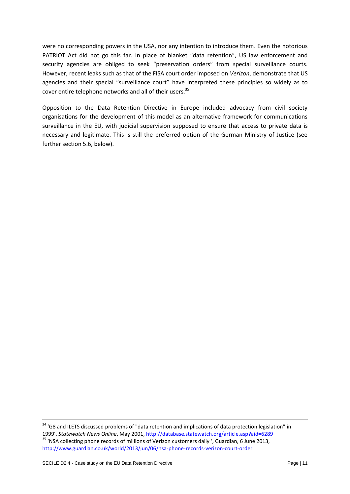were no corresponding powers in the USA, nor any intention to introduce them. Even the notorious PATRIOT Act did not go this far. In place of blanket "data retention", US law enforcement and security agencies are obliged to seek "preservation orders" from special surveillance courts. However, recent leaks such as that of the FISA court order imposed on *Verizon*, demonstrate that US agencies and their special "surveillance court" have interpreted these principles so widely as to cover entire telephone networks and all of their users.<sup>35</sup>

Opposition to the Data Retention Directive in Europe included advocacy from civil society organisations for the development of this model as an alternative framework for communications surveillance in the EU, with judicial supervision supposed to ensure that access to private data is necessary and legitimate. This is still the preferred option of the German Ministry of Justice (see further section 5.6, below).

<sup>&</sup>lt;sup>34</sup> 'G8 and ILETS discussed problems of "data retention and implications of data protection legislation" in 1999', *Statewatch News Online*, May 2001[, http://database.statewatch.org/article.asp?aid=6289](http://database.statewatch.org/article.asp?aid=6289) <sup>35</sup> 'NSA collecting phone records of millions of Verizon customers daily ', Guardian, 6 June 2013, <http://www.guardian.co.uk/world/2013/jun/06/nsa-phone-records-verizon-court-order>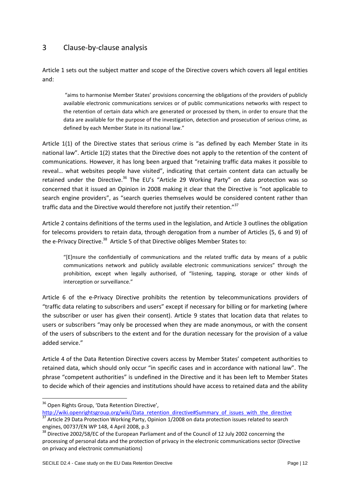## <span id="page-11-0"></span>3 Clause-by-clause analysis

Article 1 sets out the subject matter and scope of the Directive covers which covers all legal entities and:

"aims to harmonise Member States' provisions concerning the obligations of the providers of publicly available electronic communications services or of public communications networks with respect to the retention of certain data which are generated or processed by them, in order to ensure that the data are available for the purpose of the investigation, detection and prosecution of serious crime, as defined by each Member State in its national law."

Article 1(1) of the Directive states that serious crime is "as defined by each Member State in its national law". Article 1(2) states that the Directive does not apply to the retention of the content of communications. However, it has long been argued that "retaining traffic data makes it possible to reveal… what websites people have visited", indicating that certain content data can actually be retained under the Directive.<sup>36</sup> The EU's "Article 29 Working Party" on data protection was so concerned that it issued an Opinion in 2008 making it clear that the Directive is "not applicable to search engine providers", as "search queries themselves would be considered content rather than traffic data and the Directive would therefore not justify their retention."<sup>37</sup>

Article 2 contains definitions of the terms used in the legislation, and Article 3 outlines the obligation for telecoms providers to retain data, through derogation from a number of Articles (5, 6 and 9) of the e-Privacy Directive.<sup>38</sup> Article 5 of that Directive obliges Member States to:

"[E]nsure the confidentially of communications and the related traffic data by means of a public communications network and publicly available electronic communications services" through the prohibition, except when legally authorised, of "listening, tapping, storage or other kinds of interception or surveillance."

Article 6 of the e-Privacy Directive prohibits the retention by telecommunications providers of "traffic data relating to subscribers and users" except if necessary for billing or for marketing (where the subscriber or user has given their consent). Article 9 states that location data that relates to users or subscribers "may only be processed when they are made anonymous, or with the consent of the users of subscribers to the extent and for the duration necessary for the provision of a value added service."

Article 4 of the Data Retention Directive covers access by Member States' competent authorities to retained data, which should only occur "in specific cases and in accordance with national law". The phrase "competent authorities" is undefined in the Directive and it has been left to Member States to decide which of their agencies and institutions should have access to retained data and the ability

 $\overline{a}$ 

<sup>&</sup>lt;sup>36</sup> Open Rights Group, 'Data Retention Directive',

[http://wiki.openrightsgroup.org/wiki/Data\\_retention\\_directive#Summary\\_of\\_issues\\_with\\_the\\_directive](http://wiki.openrightsgroup.org/wiki/Data_retention_directive#Summary_of_issues_with_the_directive)  $37$  Article 29 Data Protection Working Party, Opinion 1/2008 on data protection issues related to search

engines, 00737/EN WP 148, 4 April 2008, p.3 <sup>38</sup> Directive 2002/58/EC of the European Parliament and of the Council of 12 July 2002 concerning the processing of personal data and the protection of privacy in the electronic communications sector (Directive on privacy and electronic communiations)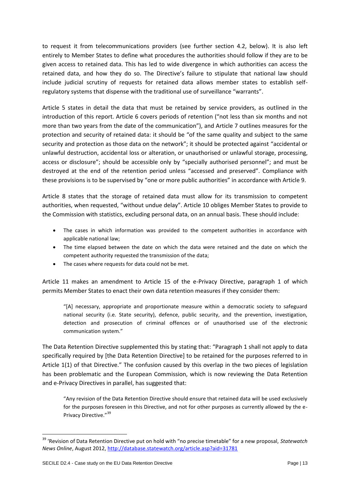to request it from telecommunications providers (see further section 4.2, below). It is also left entirely to Member States to define what procedures the authorities should follow if they are to be given access to retained data. This has led to wide divergence in which authorities can access the retained data, and how they do so. The Directive's failure to stipulate that national law should include judicial scrutiny of requests for retained data allows member states to establish selfregulatory systems that dispense with the traditional use of surveillance "warrants".

Article 5 states in detail the data that must be retained by service providers, as outlined in the introduction of this report. Article 6 covers periods of retention ("not less than six months and not more than two years from the date of the communication"), and Article 7 outlines measures for the protection and security of retained data: it should be "of the same quality and subject to the same security and protection as those data on the network"; it should be protected against "accidental or unlawful destruction, accidental loss or alteration, or unauthorised or unlawful storage, processing, access or disclosure"; should be accessible only by "specially authorised personnel"; and must be destroyed at the end of the retention period unless "accessed and preserved". Compliance with these provisions is to be supervised by "one or more public authorities" in accordance with Article 9.

Article 8 states that the storage of retained data must allow for its transmission to competent authorities, when requested, "without undue delay". Article 10 obliges Member States to provide to the Commission with statistics, excluding personal data, on an annual basis. These should include:

- The cases in which information was provided to the competent authorities in accordance with applicable national law;
- The time elapsed between the date on which the data were retained and the date on which the competent authority requested the transmission of the data;
- The cases where requests for data could not be met.

Article 11 makes an amendment to Article 15 of the e-Privacy Directive, paragraph 1 of which permits Member States to enact their own data retention measures if they consider them:

"[A] necessary, appropriate and proportionate measure within a democratic society to safeguard national security (i.e. State security), defence, public security, and the prevention, investigation, detection and prosecution of criminal offences or of unauthorised use of the electronic communication system."

The Data Retention Directive supplemented this by stating that: "Paragraph 1 shall not apply to data specifically required by [the Data Retention Directive] to be retained for the purposes referred to in Article 1(1) of that Directive." The confusion caused by this overlap in the two pieces of legislation has been problematic and the European Commission, which is now reviewing the Data Retention and e-Privacy Directives in parallel, has suggested that:

"Any revision of the Data Retention Directive should ensure that retained data will be used exclusively for the purposes foreseen in this Directive, and not for other purposes as currently allowed by the e-Privacy Directive."<sup>39</sup>

<sup>39</sup> 'Revision of Data Retention Directive put on hold with "no precise timetable" for a new proposal, *Statewatch News Online*, August 2012,<http://database.statewatch.org/article.asp?aid=31781>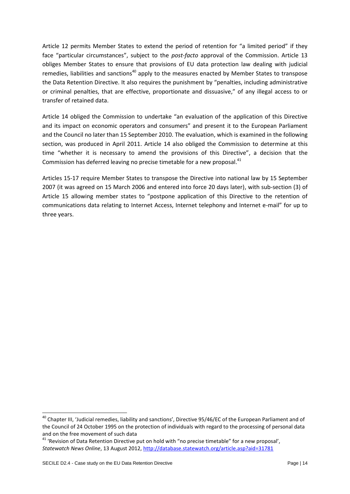Article 12 permits Member States to extend the period of retention for "a limited period" if they face "particular circumstances", subject to the *post-facto* approval of the Commission. Article 13 obliges Member States to ensure that provisions of EU data protection law dealing with judicial remedies, liabilities and sanctions<sup>40</sup> apply to the measures enacted by Member States to transpose the Data Retention Directive. It also requires the punishment by "penalties, including administrative or criminal penalties, that are effective, proportionate and dissuasive," of any illegal access to or transfer of retained data.

Article 14 obliged the Commission to undertake "an evaluation of the application of this Directive and its impact on economic operators and consumers" and present it to the European Parliament and the Council no later than 15 September 2010. The evaluation, which is examined in the following section, was produced in April 2011. Article 14 also obliged the Commission to determine at this time "whether it is necessary to amend the provisions of this Directive", a decision that the Commission has deferred leaving no precise timetable for a new proposal.<sup>41</sup>

Articles 15-17 require Member States to transpose the Directive into national law by 15 September 2007 (it was agreed on 15 March 2006 and entered into force 20 days later), with sub-section (3) of Article 15 allowing member states to "postpone application of this Directive to the retention of communications data relating to Internet Access, Internet telephony and Internet e-mail" for up to three years.

 $\overline{a}$ 

<sup>&</sup>lt;sup>40</sup> Chapter III, 'Judicial remedies, liability and sanctions', Directive 95/46/EC of the European Parliament and of the Council of 24 October 1995 on the protection of individuals with regard to the processing of personal data and on the free movement of such data

<sup>&</sup>lt;sup>41</sup> 'Revision of Data Retention Directive put on hold with "no precise timetable" for a new proposal', *Statewatch News Online*, 13 August 2012,<http://database.statewatch.org/article.asp?aid=31781>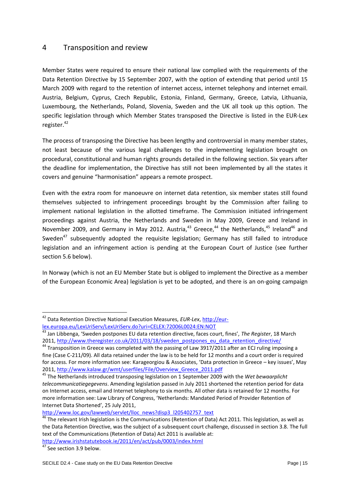### <span id="page-14-0"></span>4 Transposition and review

Member States were required to ensure their national law complied with the requirements of the Data Retention Directive by 15 September 2007, with the option of extending that period until 15 March 2009 with regard to the retention of internet access, internet telephony and internet email. Austria, Belgium, Cyprus, Czech Republic, Estonia, Finland, Germany, Greece, Latvia, Lithuania, Luxembourg, the Netherlands, Poland, Slovenia, Sweden and the UK all took up this option. The specific legislation through which Member States transposed the Directive is listed in the EUR-Lex register.<sup>42</sup>

The process of transposing the Directive has been lengthy and controversial in many member states, not least because of the various legal challenges to the implementing legislation brought on procedural, constitutional and human rights grounds detailed in the following section. Six years after the deadline for implementation, the Directive has still not been implemented by all the states it covers and genuine "harmonisation" appears a remote prospect.

Even with the extra room for manoeuvre on internet data retention, six member states still found themselves subjected to infringement proceedings brought by the Commission after failing to implement national legislation in the allotted timeframe. The Commission initiated infringement proceedings against Austria, the Netherlands and Sweden in May 2009, Greece and Ireland in November 2009, and Germany in May 2012. Austria,  $43$  Greece,  $44$  the Netherlands,  $45$  Ireland  $46$  and Sweden<sup>47</sup> subsequently adopted the requisite legislation; Germany has still failed to introduce legislation and an infringement action is pending at the European Court of Justice (see further section 5.6 below).

In Norway (which is not an EU Member State but is obliged to implement the Directive as a member of the European Economic Area) legislation is yet to be adopted, and there is an on-going campaign

 $\overline{a}$ 

<sup>42</sup> Data Retention Directive National Execution Measures, *EUR-Lex*[, http://eur](http://eur-lex.europa.eu/LexUriServ/LexUriServ.do?uri=CELEX:72006L0024:EN:NOT)[lex.europa.eu/LexUriServ/LexUriServ.do?uri=CELEX:72006L0024:EN:NOT](http://eur-lex.europa.eu/LexUriServ/LexUriServ.do?uri=CELEX:72006L0024:EN:NOT)

<sup>43</sup> Jan Libbenga, 'Sweden postpones EU data retention directive, faces court, fines', *The Register*, 18 March 2011, [http://www.theregister.co.uk/2011/03/18/sweden\\_postpones\\_eu\\_data\\_retention\\_directive/](http://www.theregister.co.uk/2011/03/18/sweden_postpones_eu_data_retention_directive/)

<sup>&</sup>lt;sup>44</sup> Transposition in Greece was completed with the passing of Law 3917/2011 after an ECJ ruling imposing a fine (Case C-211/09). All data retained under the law is to be held for 12 months and a court order is required for access. For more information see: Karageorgiou & Associates, 'Data protection in Greece – key issues', May 2011, [http://www.kalaw.gr/wmt/userfiles/File/Overview\\_Greece\\_2011.pdf](http://www.kalaw.gr/wmt/userfiles/File/Overview_Greece_2011.pdf)

<sup>45</sup> The Netherlands introduced transposing legislation on 1 September 2009 with the *Wet bewaarplicht telecommunicatiegegevens*. Amending legislation passed in July 2011 shortened the retention period for data on Internet access, email and Internet telephony to six months. All other data is retained for 12 months. For more information see: Law Library of Congress, 'Netherlands: Mandated Period of Provider Retention of Internet Data Shortened', 25 July 2011,

[http://www.loc.gov/lawweb/servlet/lloc\\_news?disp3\\_l205402757\\_text](http://www.loc.gov/lawweb/servlet/lloc_news?disp3_l205402757_text)

 $46$  The relevant Irish legislation is the Communications (Retention of Data) Act 2011. This legislation, as well as the Data Retention Directive, was the subject of a subsequent court challenge, discussed in section 3.8. The full text of the Communications (Retention of Data) Act 2011 is available at:

<http://www.irishstatutebook.ie/2011/en/act/pub/0003/index.html>

 $\frac{47}{47}$  See section 3.9 below.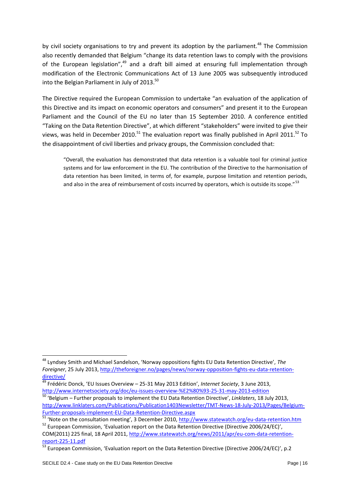by civil society organisations to try and prevent its adoption by the parliament.<sup>48</sup> The Commission also recently demanded that Belgium "change its data retention laws to comply with the provisions of the European legislation",<sup>49</sup> and a draft bill aimed at ensuring full implementation through modification of the Electronic Communications Act of 13 June 2005 was subsequently introduced into the Belgian Parliament in July of 2013.<sup>50</sup>

The Directive required the European Commission to undertake "an evaluation of the application of this Directive and its impact on economic operators and consumers" and present it to the European Parliament and the Council of the EU no later than 15 September 2010. A conference entitled "Taking on the Data Retention Directive", at which different "stakeholders" were invited to give their views, was held in December 2010.<sup>51</sup> The evaluation report was finally published in April 2011.<sup>52</sup> To the disappointment of civil liberties and privacy groups, the Commission concluded that:

"Overall, the evaluation has demonstrated that data retention is a valuable tool for criminal justice systems and for law enforcement in the EU. The contribution of the Directive to the harmonisation of data retention has been limited, in terms of, for example, purpose limitation and retention periods, and also in the area of reimbursement of costs incurred by operators, which is outside its scope."<sup>53</sup>

<sup>48</sup> Lyndsey Smith and Michael Sandelson, 'Norway oppositions fights EU Data Retention Directive', *The Foreigner*, 25 July 2013[, http://theforeigner.no/pages/news/norway-opposition-fights-eu-data-retention](http://theforeigner.no/pages/news/norway-opposition-fights-eu-data-retention-directive/)[directive/](http://theforeigner.no/pages/news/norway-opposition-fights-eu-data-retention-directive/)

<sup>49</sup> Frédéric Donck, 'EU Issues Overview – 25-31 May 2013 Edition', *Internet Society*, 3 June 2013, <http://www.internetsociety.org/doc/eu-issues-overview-%E2%80%93-25-31-may-2013-edition>

<sup>50</sup> 'Belgium – Further proposals to implement the EU Data Retention Directive', *Linklaters*, 18 July 2013, [http://www.linklaters.com/Publications/Publication1403Newsletter/TMT-News-18-July-2013/Pages/Belgium-](http://www.linklaters.com/Publications/Publication1403Newsletter/TMT-News-18-July-2013/Pages/Belgium-Further-proposals-implement-EU-Data-Retention-Directive.aspx)[Further-proposals-implement-EU-Data-Retention-Directive.aspx](http://www.linklaters.com/Publications/Publication1403Newsletter/TMT-News-18-July-2013/Pages/Belgium-Further-proposals-implement-EU-Data-Retention-Directive.aspx)

<sup>51 &#</sup>x27;Note on the consultation meeting', 3 December 2010, <http://www.statewatch.org/eu-data-retention.htm>

<sup>&</sup>lt;sup>52</sup> European Commission, 'Evaluation report on the Data Retention Directive (Directive 2006/24/EC)', COM(2011) 225 final, 18 April 2011, [http://www.statewatch.org/news/2011/apr/eu-com-data-retention](http://www.statewatch.org/news/2011/apr/eu-com-data-retention-report-225-11.pdf)[report-225-11.pdf](http://www.statewatch.org/news/2011/apr/eu-com-data-retention-report-225-11.pdf)

 $\frac{1}{53}$  European Commission. 'Evaluation report on the Data Retention Directive (Directive 2006/24/EC)', p.2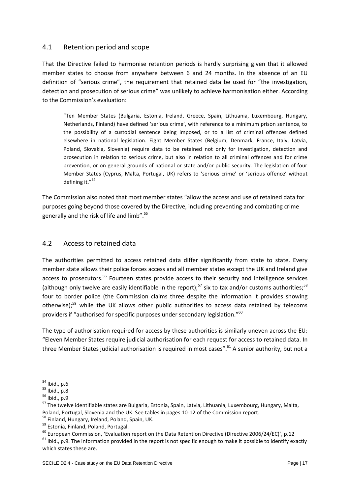#### <span id="page-16-0"></span>4.1 Retention period and scope

That the Directive failed to harmonise retention periods is hardly surprising given that it allowed member states to choose from anywhere between 6 and 24 months. In the absence of an EU definition of "serious crime", the requirement that retained data be used for "the investigation, detection and prosecution of serious crime" was unlikely to achieve harmonisation either. According to the Commission's evaluation:

"Ten Member States (Bulgaria, Estonia, Ireland, Greece, Spain, Lithuania, Luxembourg, Hungary, Netherlands, Finland) have defined 'serious crime', with reference to a minimum prison sentence, to the possibility of a custodial sentence being imposed, or to a list of criminal offences defined elsewhere in national legislation. Eight Member States (Belgium, Denmark, France, Italy, Latvia, Poland, Slovakia, Slovenia) require data to be retained not only for investigation, detection and prosecution in relation to serious crime, but also in relation to all criminal offences and for crime prevention, or on general grounds of national or state and/or public security. The legislation of four Member States (Cyprus, Malta, Portugal, UK) refers to 'serious crime' or 'serious offence' without defining it."<sup>54</sup>

The Commission also noted that most member states "allow the access and use of retained data for purposes going beyond those covered by the Directive, including preventing and combating crime generally and the risk of life and limb".<sup>55</sup>

#### <span id="page-16-1"></span>4.2 Access to retained data

The authorities permitted to access retained data differ significantly from state to state. Every member state allows their police forces access and all member states except the UK and Ireland give access to prosecutors.<sup>56</sup> Fourteen states provide access to their security and intelligence services (although only twelve are easily identifiable in the report);<sup>57</sup> six to tax and/or customs authorities;<sup>58</sup> four to border police (the Commission claims three despite the information it provides showing otherwise);<sup>59</sup> while the UK allows other public authorities to access data retained by telecoms providers if "authorised for specific purposes under secondary legislation."<sup>60</sup>

The type of authorisation required for access by these authorities is similarly uneven across the EU: "Eleven Member States require judicial authorisation for each request for access to retained data. In three Member States judicial authorisation is required in most cases".<sup>61</sup> A senior authority, but not a

 $61$  Ibid., p.9. The information provided in the report is not specific enough to make it possible to identify exactly which states these are.

**<sup>.</sup>**  $54$  Ibid., p.6

 $55$  Ibid., p.8

<sup>56</sup> Ibid., p.9

<sup>57</sup> The twelve identifiable states are Bulgaria, Estonia, Spain, Latvia, Lithuania, Luxembourg, Hungary, Malta, Poland, Portugal, Slovenia and the UK. See tables in pages 10-12 of the Commission report. <sup>58</sup> Finland, Hungary, Ireland, Poland, Spain, UK.

<sup>59</sup> Estonia, Finland, Poland, Portugal.

<sup>&</sup>lt;sup>60</sup> European Commission, 'Evaluation report on the Data Retention Directive (Directive 2006/24/EC)', p.12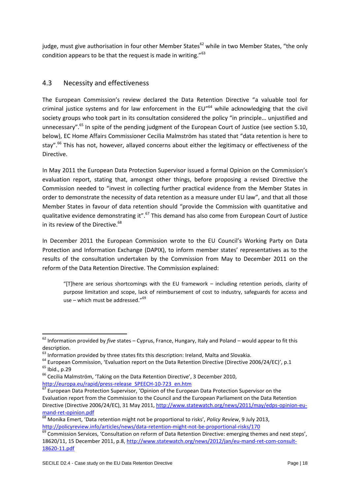judge, must give authorisation in four other Member States<sup>62</sup> while in two Member States, "the only condition appears to be that the request is made in writing."<sup>63</sup>

## <span id="page-17-0"></span>4.3 Necessity and effectiveness

The European Commission's review declared the Data Retention Directive "a valuable tool for criminal justice systems and for law enforcement in the EU"<sup>64</sup> while acknowledging that the civil society groups who took part in its consultation considered the policy "in principle… unjustified and unnecessary".<sup>65</sup> In spite of the pending judgment of the European Court of Justice (see section 5.10, below), EC Home Affairs Commissioner Cecilia Malmström has stated that "data retention is here to stay".<sup>66</sup> This has not, however, allayed concerns about either the legitimacy or effectiveness of the Directive.

In May 2011 the European Data Protection Supervisor issued a formal Opinion on the Commission's evaluation report, stating that, amongst other things, before proposing a revised Directive the Commission needed to "invest in collecting further practical evidence from the Member States in order to demonstrate the necessity of data retention as a measure under EU law", and that all those Member States in favour of data retention should "provide the Commission with quantitative and qualitative evidence demonstrating it".<sup>67</sup> This demand has also come from European Court of Justice in its review of the Directive.<sup>68</sup>

In December 2011 the European Commission wrote to the EU Council's Working Party on Data Protection and Information Exchange (DAPIX), to inform member states' representatives as to the results of the consultation undertaken by the Commission from May to December 2011 on the reform of the Data Retention Directive. The Commission explained:

"[T]here are serious shortcomings with the EU framework – including retention periods, clarity of purpose limitation and scope, lack of reimbursement of cost to industry, safeguards for access and use – which must be addressed."<sup>69</sup>

<sup>62</sup> Information provided by *five* states – Cyprus, France, Hungary, Italy and Poland – would appear to fit this description.

 $63$  Information provided by three states fits this description: Ireland, Malta and Slovakia.

 $64$  European Commission, 'Evaluation report on the Data Retention Directive (Directive 2006/24/EC)', p.1  $65$  Ibid., p.29

<sup>&</sup>lt;sup>66</sup> Cecilia Malmström, 'Taking on the Data Retention Directive', 3 December 2010, [http://europa.eu/rapid/press-release\\_SPEECH-10-723\\_en.htm](http://europa.eu/rapid/press-release_SPEECH-10-723_en.htm)

<sup>67</sup> European Data Protection Supervisor, 'Opinion of the European Data Protection Supervisor on the Evaluation report from the Commission to the Council and the European Parliament on the Data Retention Directive (Directive 2006/24/EC), 31 May 2011, [http://www.statewatch.org/news/2011/may/edps-opinion-eu](http://www.statewatch.org/news/2011/may/edps-opinion-eu-mand-ret-opinion.pdf)[mand-ret-opinion.pdf](http://www.statewatch.org/news/2011/may/edps-opinion-eu-mand-ret-opinion.pdf)

<sup>68</sup> Monika Emert, 'Data retention might not be proportional to risks', *Policy Review*, 9 July 2013, <http://policyreview.info/articles/news/data-retention-might-not-be-proportional-risks/170>

<sup>&</sup>lt;sup>69</sup> Commission Services, 'Consultation on reform of Data Retention Directive: emerging themes and next steps', 18620/11, 15 December 2011, p.8[, http://www.statewatch.org/news/2012/jan/eu-mand-ret-com-consult-](http://www.statewatch.org/news/2012/jan/eu-mand-ret-com-consult-18620-11.pdf)[18620-11.pdf](http://www.statewatch.org/news/2012/jan/eu-mand-ret-com-consult-18620-11.pdf)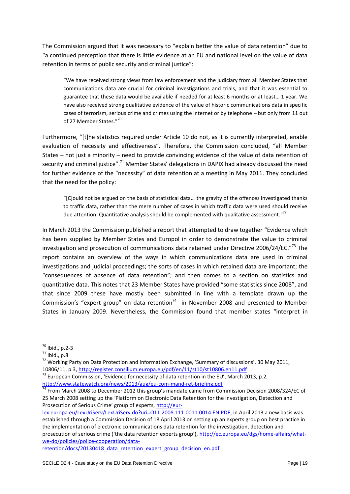The Commission argued that it was necessary to "explain better the value of data retention" due to "a continued perception that there is little evidence at an EU and national level on the value of data retention in terms of public security and criminal justice":

"We have received strong views from law enforcement and the judiciary from all Member States that communications data are crucial for criminal investigations and trials, and that it was essential to guarantee that these data would be available if needed for at least 6 months or at least… 1 year. We have also received strong qualitative evidence of the value of historic communications data in specific cases of terrorism, serious crime and crimes using the internet or by telephone – but only from 11 out of 27 Member States."70

Furthermore, "[t]he statistics required under Article 10 do not, as it is currently interpreted, enable evaluation of necessity and effectiveness". Therefore, the Commission concluded, "all Member States – not just a minority – need to provide convincing evidence of the value of data retention of security and criminal justice".<sup>71</sup> Member States' delegations in DAPIX had already discussed the need for further evidence of the "necessity" of data retention at a meeting in May 2011. They concluded that the need for the policy:

"[C]ould not be argued on the basis of statistical data… the gravity of the offences investigated thanks to traffic data, rather than the mere number of cases in which traffic data were used should receive due attention. Quantitative analysis should be complemented with qualitative assessment."<sup>72</sup>

In March 2013 the Commission published a report that attempted to draw together "Evidence which has been supplied by Member States and Europol in order to demonstrate the value to criminal investigation and prosecution of communications data retained under Directive 2006/24/EC."<sup>73</sup> The report contains an overview of the ways in which communications data are used in criminal investigations and judicial proceedings; the sorts of cases in which retained data are important; the "consequences of absence of data retention"; and then comes to a section on statistics and quantitative data. This notes that 23 Member States have provided "some statistics since 2008", and that since 2009 these have mostly been submitted in line with a template drawn up the Commission's "expert group" on data retention $74$  in November 2008 and presented to Member States in January 2009. Nevertheless, the Commission found that member states "interpret in

**.** 

[retention/docs/20130418\\_data\\_retention\\_expert\\_group\\_decision\\_en.pdf](http://ec.europa.eu/dgs/home-affairs/what-we-do/policies/police-cooperation/data-retention/docs/20130418_data_retention_expert_group_decision_en.pdf)

 $70$  Ibid., p.2-3

 $^{71}$  Ibid., p.8

<sup>&</sup>lt;sup>72</sup> Working Party on Data Protection and Information Exchange, 'Summary of discussions', 30 May 2011, 10806/11, p.3[, http://register.consilium.europa.eu/pdf/en/11/st10/st10806.en11.pdf](http://register.consilium.europa.eu/pdf/en/11/st10/st10806.en11.pdf)

 $^{73}$  European Commission, 'Evidence for necessity of data retention in the EU', March 2013, p.2, <http://www.statewatch.org/news/2013/aug/eu-com-mand-ret-briefing.pdf>

The March 2008 to December 2012 this group's mandate came from Commission Decision 2008/324/EC of 25 March 2008 setting up the 'Platform on Electronic Data Retention for the Investigation, Detection and Prosecution of Serious Crime' group of experts, [http://eur-](http://eur-lex.europa.eu/LexUriServ/LexUriServ.do?uri=OJ:L:2008:111:0011:0014:EN:PDF)

[lex.europa.eu/LexUriServ/LexUriServ.do?uri=OJ:L:2008:111:0011:0014:EN:PDF;](http://eur-lex.europa.eu/LexUriServ/LexUriServ.do?uri=OJ:L:2008:111:0011:0014:EN:PDF) in April 2013 a new basis was established through a Commission Decision of 18 April 2013 on setting up an experts group on best practice in the implementation of electronic communications data retention for the investigation, detection and prosecution of serious crime ('the data retention experts group'), [http://ec.europa.eu/dgs/home-affairs/what](http://ec.europa.eu/dgs/home-affairs/what-we-do/policies/police-cooperation/data-retention/docs/20130418_data_retention_expert_group_decision_en.pdf)[we-do/policies/police-cooperation/data-](http://ec.europa.eu/dgs/home-affairs/what-we-do/policies/police-cooperation/data-retention/docs/20130418_data_retention_expert_group_decision_en.pdf)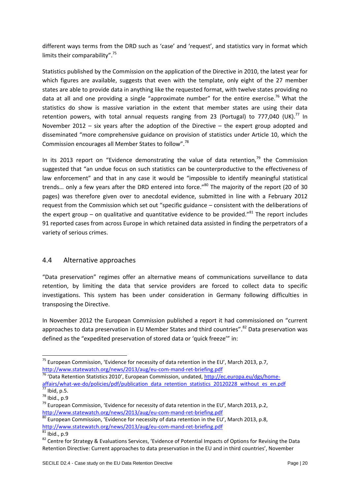different ways terms from the DRD such as 'case' and 'request', and statistics vary in format which limits their comparability".<sup>75</sup>

Statistics published by the Commission on the application of the Directive in 2010, the latest year for which figures are available, suggests that even with the template, only eight of the 27 member states are able to provide data in anything like the requested format, with twelve states providing no data at all and one providing a single "approximate number" for the entire exercise.<sup>76</sup> What the statistics do show is massive variation in the extent that member states are using their data retention powers, with total annual requests ranging from 23 (Portugal) to 777,040 (UK).<sup>77</sup> In November 2012 – six years after the adoption of the Directive – the expert group adopted and disseminated "more comprehensive guidance on provision of statistics under Article 10, which the Commission encourages all Member States to follow".<sup>78</sup>

In its 2013 report on "Evidence demonstrating the value of data retention, $79$  the Commission suggested that "an undue focus on such statistics can be counterproductive to the effectiveness of law enforcement" and that in any case it would be "impossible to identify meaningful statistical trends... only a few years after the DRD entered into force."<sup>80</sup> The majority of the report (20 of 30 pages) was therefore given over to anecdotal evidence, submitted in line with a February 2012 request from the Commission which set out "specific guidance – consistent with the deliberations of the expert group – on qualitative and quantitative evidence to be provided." $81$  The report includes 91 reported cases from across Europe in which retained data assisted in finding the perpetrators of a variety of serious crimes.

#### <span id="page-19-0"></span>4.4 Alternative approaches

"Data preservation" regimes offer an alternative means of communications surveillance to data retention, by limiting the data that service providers are forced to collect data to specific investigations. This system has been under consideration in Germany following difficulties in transposing the Directive.

In November 2012 the European Commission published a report it had commissioned on "current approaches to data preservation in EU Member States and third countries".<sup>82</sup> Data preservation was defined as the "expedited preservation of stored data or 'quick freeze'" in:

<sup>&</sup>lt;sup>75</sup> European Commission, 'Evidence for necessity of data retention in the EU', March 2013, p.7, <http://www.statewatch.org/news/2013/aug/eu-com-mand-ret-briefing.pdf>

<sup>76</sup> 'Data Retention Statistics 2010', European Commission, undated, [http://ec.europa.eu/dgs/home](http://ec.europa.eu/dgs/home-affairs/what-we-do/policies/pdf/publication_data_retention_statistics_20120228_without_es_en.pdf)affairs/what-we-do/policies/pdf/publication data retention statistics 20120228 without es en.pdf

 $77$  Ibid, p.5. <sup>78</sup> Ibid., p.9

 $^{79}$  European Commission, 'Evidence for necessity of data retention in the EU', March 2013, p.2, <http://www.statewatch.org/news/2013/aug/eu-com-mand-ret-briefing.pdf>

 $\overline{{}^{80}}$  European Commission, 'Evidence for necessity of data retention in the EU', March 2013, p.8,

<http://www.statewatch.org/news/2013/aug/eu-com-mand-ret-briefing.pdf>

 $^{81}$  Ibid., p.9

<sup>82</sup> Centre for Strategy & Evaluations Services, 'Evidence of Potential Impacts of Options for Revising the Data Retention Directive: Current approaches to data preservation in the EU and in third countries', November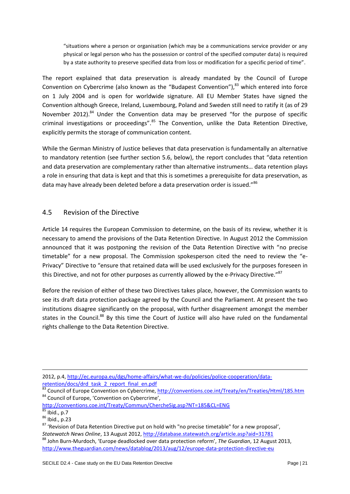"situations where a person or organisation (which may be a communications service provider or any physical or legal person who has the possession or control of the specified computer data) is required by a state authority to preserve specified data from loss or modification for a specific period of time".

The report explained that data preservation is already mandated by the Council of Europe Convention on Cybercrime (also known as the "Budapest Convention"),<sup>83</sup> which entered into force on 1 July 2004 and is open for worldwide signature. All EU Member States have signed the Convention although Greece, Ireland, Luxembourg, Poland and Sweden still need to ratify it (as of 29 November 2012).<sup>84</sup> Under the Convention data may be preserved "for the purpose of specific criminal investigations or proceedings".<sup>85</sup> The Convention, unlike the Data Retention Directive, explicitly permits the storage of communication content.

While the German Ministry of Justice believes that data preservation is fundamentally an alternative to mandatory retention (see further section 5.6, below), the report concludes that "data retention and data preservation are complementary rather than alternative instruments… data retention plays a role in ensuring that data is kept and that this is sometimes a prerequisite for data preservation, as data may have already been deleted before a data preservation order is issued."86

## <span id="page-20-0"></span>4.5 Revision of the Directive

Article 14 requires the European Commission to determine, on the basis of its review, whether it is necessary to amend the provisions of the Data Retention Directive. In August 2012 the Commission announced that it was postponing the revision of the Data Retention Directive with "no precise timetable" for a new proposal. The Commission spokesperson cited the need to review the "e-Privacy" Directive to "ensure that retained data will be used exclusively for the purposes foreseen in this Directive, and not for other purposes as currently allowed by the e-Privacy Directive."<sup>87</sup>

Before the revision of either of these two Directives takes place, however, the Commission wants to see its draft data protection package agreed by the Council and the Parliament. At present the two institutions disagree significantly on the proposal, with further disagreement amongst the member states in the Council.<sup>88</sup> By this time the Court of Justice will also have ruled on the fundamental rights challenge to the Data Retention Directive.

<http://conventions.coe.int/Treaty/Commun/ChercheSig.asp?NT=185&CL=ENG>

<sup>2012,</sup> p.4[, http://ec.europa.eu/dgs/home-affairs/what-we-do/policies/police-cooperation/data](http://ec.europa.eu/dgs/home-affairs/what-we-do/policies/police-cooperation/data-retention/docs/drd_task_2_report_final_en.pdf)[retention/docs/drd\\_task\\_2\\_report\\_final\\_en.pdf](http://ec.europa.eu/dgs/home-affairs/what-we-do/policies/police-cooperation/data-retention/docs/drd_task_2_report_final_en.pdf)

<sup>&</sup>lt;sup>83</sup> Council of Europe Convention on Cybercrime,<http://conventions.coe.int/Treaty/en/Treaties/Html/185.htm> 84 Council of Europe, 'Convention on Cybercrime',

<sup>&</sup>lt;sup>85</sup> Ibid., p.7

<sup>86</sup> Ibid., p.23

<sup>&</sup>lt;sup>87</sup> 'Revision of Data Retention Directive put on hold with "no precise timetable" for a new proposal', *Statewatch News Online*, 13 August 2012,<http://database.statewatch.org/article.asp?aid=31781> <sup>88</sup> John Burn-Murdoch, 'Europe deadlocked over data protection reform', *The Guardian*, 12 August 2013, <http://www.theguardian.com/news/datablog/2013/aug/12/europe-data-protection-directive-eu>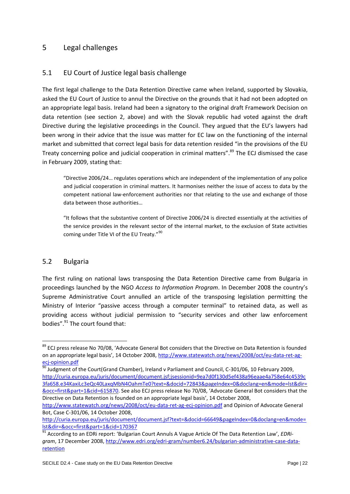## <span id="page-21-0"></span>5 Legal challenges

## <span id="page-21-1"></span>5.1 EU Court of Justice legal basis challenge

The first legal challenge to the Data Retention Directive came when Ireland, supported by Slovakia, asked the EU Court of Justice to annul the Directive on the grounds that it had not been adopted on an appropriate legal basis. Ireland had been a signatory to the original draft Framework Decision on data retention (see section 2, above) and with the Slovak republic had voted against the draft Directive during the legislative proceedings in the Council. They argued that the EU's lawyers had been wrong in their advice that the issue was matter for EC law on the functioning of the internal market and submitted that correct legal basis for data retention resided "in the provisions of the EU Treaty concerning police and judicial cooperation in criminal matters". <sup>89</sup> The ECJ dismissed the case in February 2009, stating that:

"Directive 2006/24… regulates operations which are independent of the implementation of any police and judicial cooperation in criminal matters. It harmonises neither the issue of access to data by the competent national law-enforcement authorities nor that relating to the use and exchange of those data between those authorities…

"It follows that the substantive content of Directive 2006/24 is directed essentially at the activities of the service provides in the relevant sector of the internal market, to the exclusion of State activities coming under Title VI of the EU Treaty."<sup>90</sup>

#### <span id="page-21-2"></span>5.2 Bulgaria

**.** 

The first ruling on national laws transposing the Data Retention Directive came from Bulgaria in proceedings launched by the NGO *Access to Information Program*. In December 2008 the country's Supreme Administrative Court annulled an article of the transposing legislation permitting the Ministry of Interior "passive access through a computer terminal" to retained data, as well as providing access without judicial permission to "security services and other law enforcement bodies".<sup>91</sup> The court found that:

<sup>&</sup>lt;sup>89</sup> ECJ press release No 70/08, 'Advocate General Bot considers that the Directive on Data Retention is founded on an appropriate legal basis', 14 October 2008, [http://www.statewatch.org/news/2008/oct/eu-data-ret-ag](http://www.statewatch.org/news/2008/oct/eu-data-ret-ag-ecj-opinion.pdf)[ecj-opinion.pdf](http://www.statewatch.org/news/2008/oct/eu-data-ret-ag-ecj-opinion.pdf)

 $\frac{90}{90}$  Judgment of the Court(Grand Chamber), Ireland v Parliament and Council, C-301/06, 10 February 2009, [http://curia.europa.eu/juris/document/document.jsf;jsessionid=9ea7d0f130d5ef438a96eaae4a758e64c4539c](http://curia.europa.eu/juris/document/document.jsf;jsessionid=9ea7d0f130d5ef438a96eaae4a758e64c4539c3fa658.e34KaxiLc3eQc40LaxqMbN4OahmTe0?text=&docid=72843&pageIndex=0&doclang=en&mode=lst&dir=&occ=first&part=1&cid=615870) [3fa658.e34KaxiLc3eQc40LaxqMbN4OahmTe0?text=&docid=72843&pageIndex=0&doclang=en&mode=lst&dir=](http://curia.europa.eu/juris/document/document.jsf;jsessionid=9ea7d0f130d5ef438a96eaae4a758e64c4539c3fa658.e34KaxiLc3eQc40LaxqMbN4OahmTe0?text=&docid=72843&pageIndex=0&doclang=en&mode=lst&dir=&occ=first&part=1&cid=615870) [&occ=first&part=1&cid=615870.](http://curia.europa.eu/juris/document/document.jsf;jsessionid=9ea7d0f130d5ef438a96eaae4a758e64c4539c3fa658.e34KaxiLc3eQc40LaxqMbN4OahmTe0?text=&docid=72843&pageIndex=0&doclang=en&mode=lst&dir=&occ=first&part=1&cid=615870) See also ECJ press release No 70/08, 'Advocate General Bot considers that the Directive on Data Retention is founded on an appropriate legal basis', 14 October 2008,

<http://www.statewatch.org/news/2008/oct/eu-data-ret-ag-ecj-opinion.pdf> and Opinion of Advocate General Bot, Case C-301/06, 14 October 2008,

[http://curia.europa.eu/juris/document/document.jsf?text=&docid=66649&pageIndex=0&doclang=en&mode=](http://curia.europa.eu/juris/document/document.jsf?text=&docid=66649&pageIndex=0&doclang=en&mode=lst&dir=&occ=first&part=1&cid=170367) [lst&dir=&occ=first&part=1&cid=170367](http://curia.europa.eu/juris/document/document.jsf?text=&docid=66649&pageIndex=0&doclang=en&mode=lst&dir=&occ=first&part=1&cid=170367)

<sup>91</sup> According to an EDRi report: 'Bulgarian Court Annuls A Vague Article Of The Data Retention Law', *EDRigram*, 17 December 2008, [http://www.edri.org/edri-gram/number6.24/bulgarian-administrative-case-data](http://www.edri.org/edri-gram/number6.24/bulgarian-administrative-case-data-retention)[retention](http://www.edri.org/edri-gram/number6.24/bulgarian-administrative-case-data-retention)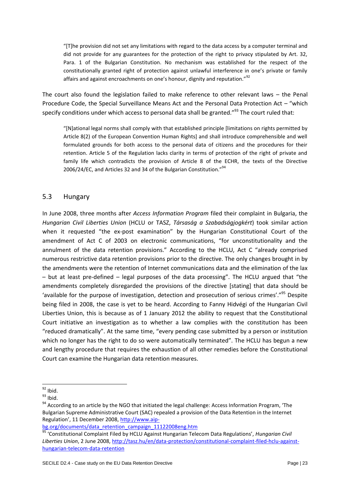"[T]he provision did not set any limitations with regard to the data access by a computer terminal and did not provide for any guarantees for the protection of the right to privacy stipulated by Art. 32, Para. 1 of the Bulgarian Constitution. No mechanism was established for the respect of the constitutionally granted right of protection against unlawful interference in one's private or family affairs and against encroachments on one's honour, dignity and reputation."<sup>92</sup>

The court also found the legislation failed to make reference to other relevant laws – the Penal Procedure Code, the Special Surveillance Means Act and the Personal Data Protection Act – "which specify conditions under which access to personal data shall be granted."<sup>93</sup> The court ruled that:

"[N]ational legal norms shall comply with that established principle [limitations on rights permitted by Article 8(2) of the European Convention Human Rights] and shall introduce comprehensible and well formulated grounds for both access to the personal data of citizens and the procedures for their retention. Article 5 of the Regulation lacks clarity in terms of protection of the right of private and family life which contradicts the provision of Article 8 of the ECHR, the texts of the Directive 2006/24/EC, and Articles 32 and 34 of the Bulgarian Constitution."<sup>94</sup>

#### <span id="page-22-0"></span>5.3 Hungary

In June 2008, three months after *Access Information Program* filed their complaint in Bulgaria, the *Hungarian Civil Liberties Union* (HCLU or TASZ, *Társaság a Szabadságjogkért*) took similar action when it requested "the ex-post examination" by the Hungarian Constitutional Court of the amendment of Act C of 2003 on electronic communications, "for unconstitutionality and the annulment of the data retention provisions." According to the HCLU, Act C "already comprised numerous restrictive data retention provisions prior to the directive. The only changes brought in by the amendments were the retention of Internet communications data and the elimination of the lax – but at least pre-defined – legal purposes of the data processing". The HCLU argued that "the amendments completely disregarded the provisions of the directive [stating] that data should be 'available for the purpose of investigation, detection and prosecution of serious crimes'."<sup>95</sup> Despite being filed in 2008, the case is yet to be heard. According to Fanny Hidvégi of the Hungarian Civil Liberties Union, this is because as of 1 January 2012 the ability to request that the Constitutional Court initiative an investigation as to whether a law complies with the constitution has been "reduced dramatically". At the same time, "every pending case submitted by a person or institution which no longer has the right to do so were automatically terminated". The HCLU has begun a new and lengthy procedure that requires the exhaustion of all other remedies before the Constitutional Court can examine the Hungarian data retention measures.

<sup>1</sup>  $92$  Ibid.

 $93$  Ibid.

<sup>&</sup>lt;sup>94</sup> According to an article by the NGO that initiated the legal challenge: Access Information Program, 'The Bulgarian Supreme Administrative Court (SAC) repealed a provision of the Data Retention in the Internet Regulation', 11 December 2008, [http://www.aip-](http://www.aip-bg.org/documents/data_retention_campaign_11122008eng.htm)

[bg.org/documents/data\\_retention\\_campaign\\_11122008eng.htm](http://www.aip-bg.org/documents/data_retention_campaign_11122008eng.htm)

<sup>95</sup> 'Constitutional Complaint Filed by HCLU Against Hungarian Telecom Data Regulations', *Hungarian Civil Liberties Union*, 2 June 2008[, http://tasz.hu/en/data-protection/constitutional-complaint-filed-hclu-against](http://tasz.hu/en/data-protection/constitutional-complaint-filed-hclu-against-hungarian-telecom-data-retention)[hungarian-telecom-data-retention](http://tasz.hu/en/data-protection/constitutional-complaint-filed-hclu-against-hungarian-telecom-data-retention)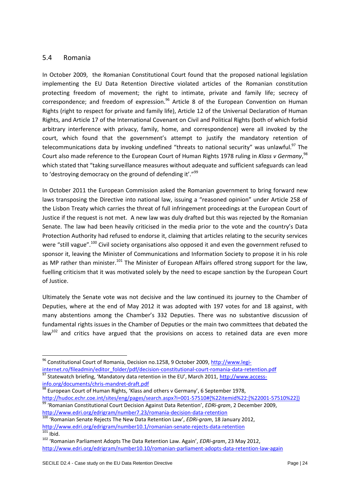#### <span id="page-23-0"></span>5.4 Romania

1

In October 2009, the Romanian Constitutional Court found that the proposed national legislation implementing the EU Data Retention Directive violated articles of the Romanian constitution protecting freedom of movement; the right to intimate, private and family life; secrecy of correspondence; and freedom of expression. $96$  Article 8 of the European Convention on Human Rights (right to respect for private and family life), Article 12 of the Universal Declaration of Human Rights, and Article 17 of the International Covenant on Civil and Political Rights (both of which forbid arbitrary interference with privacy, family, home, and correspondence) were all invoked by the court, which found that the government's attempt to justify the mandatory retention of telecommunications data by invoking undefined "threats to national security" was unlawful.<sup>97</sup> The Court also made reference to the European Court of Human Rights 1978 ruling in *Klass v Germany*, 98 which stated that "taking surveillance measures without adequate and sufficient safeguards can lead to 'destroying democracy on the ground of defending it'."<sup>99</sup>

In October 2011 the European Commission asked the Romanian government to bring forward new laws transposing the Directive into national law, issuing a "reasoned opinion" under Article 258 of the Lisbon Treaty which carries the threat of full infringement proceedings at the European Court of Justice if the request is not met. A new law was duly drafted but this was rejected by the Romanian Senate. The law had been heavily criticised in the media prior to the vote and the country's Data Protection Authority had refused to endorse it, claiming that articles relating to the security services were "still vague".<sup>100</sup> Civil society organisations also opposed it and even the government refused to sponsor it, leaving the Minister of Communications and Information Society to propose it in his role as MP rather than minister.<sup>101</sup> The Minister of European Affairs offered strong support for the law, fuelling criticism that it was motivated solely by the need to escape sanction by the European Court of Justice.

Ultimately the Senate vote was not decisive and the law continued its journey to the Chamber of Deputies, where at the end of May 2012 it was adopted with 197 votes for and 18 against, with many abstentions among the Chamber's 332 Deputies. There was no substantive discussion of fundamental rights issues in the Chamber of Deputies or the main two committees that debated the  $\text{law}^{102}$  and critics have argued that the provisions on access to retained data are even more

<sup>96</sup> Constitutional Court of Romania, Decision no.1258, 9 October 2009, [http://www.legi-](http://www.legi-internet.ro/fileadmin/editor_folder/pdf/decision-constitutional-court-romania-data-retention.pdf)

[internet.ro/fileadmin/editor\\_folder/pdf/decision-constitutional-court-romania-data-retention.pdf](http://www.legi-internet.ro/fileadmin/editor_folder/pdf/decision-constitutional-court-romania-data-retention.pdf)

<sup>97</sup> Statewatch briefing, 'Mandatory data retention in the EU', March 2011, [http://www.access](http://www.access-info.org/documents/chris-mandret-draft.pdf)[info.org/documents/chris-mandret-draft.pdf](http://www.access-info.org/documents/chris-mandret-draft.pdf)

**EUROL BY COURTILITY COUPS TRANSIST CONSUMING SUBSET OF SEPTEMBER 1978,**<br><sup>98</sup> European Court of Human Rights, 'Klass and others v Germany', 6 September 1978, [http://hudoc.echr.coe.int/sites/eng/pages/search.aspx?i=001-57510#{%22itemid%22:\[%22001-57510%22\]}](http://hudoc.echr.coe.int/sites/eng/pages/search.aspx?i=001-57510#{%22itemid%22:[%22001-57510%22]})

<sup>99</sup> 'Romanian Constitutional Court Decision Against Data Retention', *EDRi-gram*, 2 December 2009, <http://www.edri.org/edrigram/number7.23/romania-decision-data-retention>

<sup>100</sup> 'Romanian Senate Rejects The New Data Retention Law', *EDRi-gram*, 18 January 2012, <http://www.edri.org/edrigram/number10.1/romanian-senate-rejects-data-retention>  $101$  Ibid.

<sup>102</sup> 'Romanian Parliament Adopts The Data Retention Law. Again', *EDRi-gram*, 23 May 2012, <http://www.edri.org/edrigram/number10.10/romanian-parliament-adopts-data-retention-law-again>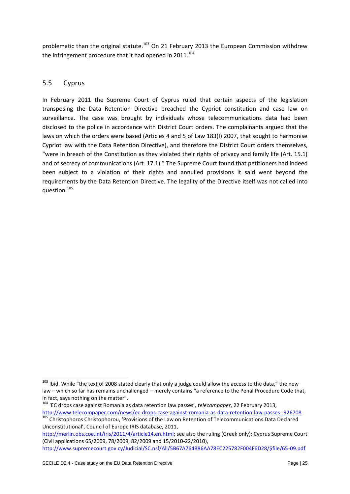problematic than the original statute.<sup>103</sup> On 21 February 2013 the European Commission withdrew the infringement procedure that it had opened in  $2011$ .<sup>104</sup>

## <span id="page-24-0"></span>5.5 Cyprus

**.** 

In February 2011 the Supreme Court of Cyprus ruled that certain aspects of the legislation transposing the Data Retention Directive breached the Cypriot constitution and case law on surveillance. The case was brought by individuals whose telecommunications data had been disclosed to the police in accordance with District Court orders. The complainants argued that the laws on which the orders were based (Articles 4 and 5 of Law 183(I) 2007, that sought to harmonise Cypriot law with the Data Retention Directive), and therefore the District Court orders themselves, "were in breach of the Constitution as they violated their rights of privacy and family life (Art. 15.1) and of secrecy of communications (Art. 17.1)." The Supreme Court found that petitioners had indeed been subject to a violation of their rights and annulled provisions it said went beyond the requirements by the Data Retention Directive. The legality of the Directive itself was not called into question.<sup>105</sup>

<sup>&</sup>lt;sup>103</sup> Ibid. While "the text of 2008 stated clearly that only a judge could allow the access to the data," the new law – which so far has remains unchallenged – merely contains "a reference to the Penal Procedure Code that, in fact, says nothing on the matter".

<sup>104</sup> 'EC drops case against Romania as data retention law passes', *telecompaper*, 22 February 2013, <http://www.telecompaper.com/news/ec-drops-case-against-romania-as-data-retention-law-passes--926708>

<sup>105</sup> Christophoros Christophorou, 'Provisions of the Law on Retention of Telecommunications Data Declared Unconstitutional', Council of Europe IRIS database, 2011,

[http://merlin.obs.coe.int/iris/2011/4/article14.en.html;](http://merlin.obs.coe.int/iris/2011/4/article14.en.html) see also the ruling (Greek only): Cyprus Supreme Court (Civil applications 65/2009, 78/2009, 82/2009 and 15/2010-22/2010), [http://www.supremecourt.gov.cy/Judicial/SC.nsf/All/5B67A764B86AA78EC225782F004F6D28/\\$file/65-09.pdf](http://www.supremecourt.gov.cy/Judicial/SC.nsf/All/5B67A764B86AA78EC225782F004F6D28/$file/65-09.pdf)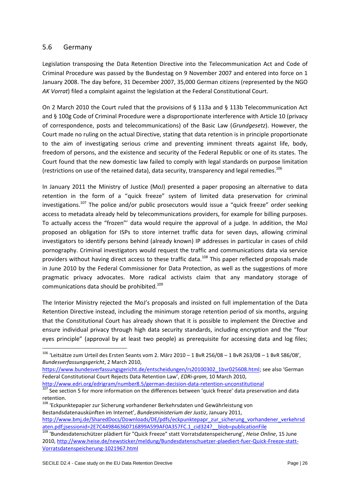#### <span id="page-25-0"></span>5.6 Germany

 $\overline{a}$ 

Legislation transposing the Data Retention Directive into the Telecommunication Act and Code of Criminal Procedure was passed by the Bundestag on 9 November 2007 and entered into force on 1 January 2008. The day before, 31 December 2007, 35,000 German citizens (represented by the NGO *AK Vorrat*) filed a complaint against the legislation at the Federal Constitutional Court.

On 2 March 2010 the Court ruled that the provisions of § 113a and § 113b Telecommunication Act and § 100g Code of Criminal Procedure were a disproportionate interference with Article 10 (privacy of correspondence, posts and telecommunications) of the Basic Law (*Grundgesetz*). However, the Court made no ruling on the actual Directive, stating that data retention is in principle proportionate to the aim of investigating serious crime and preventing imminent threats against life, body, freedom of persons, and the existence and security of the Federal Republic or one of its states. The Court found that the new domestic law failed to comply with legal standards on purpose limitation (restrictions on use of the retained data), data security, transparency and legal remedies.<sup>106</sup>

In January 2011 the Ministry of Justice (MoJ) presented a paper proposing an alternative to data retention in the form of a "quick freeze" system of limited data preservation for criminal investigations.<sup>107</sup> The police and/or public prosecutors would issue a "quick freeze" order seeking access to metadata already held by telecommunications providers, for example for billing purposes. To actually access the "frozen"' data would require the approval of a judge. In addition, the MoJ proposed an obligation for ISPs to store internet traffic data for seven days, allowing criminal investigators to identify persons behind (already known) IP addresses in particular in cases of child pornography. Criminal investigators would request the traffic and communications data via service providers without having direct access to these traffic data.<sup>108</sup> This paper reflected proposals made in June 2010 by the Federal Commissioner for Data Protection, as well as the suggestions of more pragmatic privacy advocates. More radical activists claim that any mandatory storage of communications data should be prohibited.<sup>109</sup>

The Interior Ministry rejected the MoJ's proposals and insisted on full implementation of the Data Retention Directive instead, including the minimum storage retention period of six months, arguing that the Constitutional Court has already shown that it is possible to implement the Directive and ensure individual privacy through high data security standards, including encryption and the "four eyes principle" (approval by at least two people) as prerequisite for accessing data and log files;

<http://www.edri.org/edrigram/number8.5/german-decision-data-retention-unconstitutional>

<sup>106</sup> 'Leitsätze zum Urteil des Ersten Seants vom 2. März 2010 – 1 BvR 256/08 – 1 BvR 263/08 – 1 BvR 586/08', *Bundesverfassungsgericht*, 2 March 2010,

[https://www.bundesverfassungsgericht.de/entscheidungen/rs20100302\\_1bvr025608.html](https://www.bundesverfassungsgericht.de/entscheidungen/rs20100302_1bvr025608.html); see also 'German Federal Constitutional Court Rejects Data Retention Law', *EDRi-gram*, 10 March 2010,

See section 5 for more information on the differences between 'quick freeze' data preservation and data retention.

<sup>108</sup> 'Eckpunktepapier zur Sicherung vorhandener Berkehrsdaten und Gewährleistung von Bestandsdatenauskünften im Internet', *Bundesministerium der Justiz*, January 2011, [http://www.bmj.de/SharedDocs/Downloads/DE/pdfs/eckpunktepapr\\_zur\\_sicherung\\_vorhandener\\_verkehrsd](http://www.bmj.de/SharedDocs/Downloads/DE/pdfs/eckpunktepapr_zur_sicherung_vorhandener_verkehrsdaten.pdf;jsessionid=2E7C449846360716899A599AF0A357FC.1_cid324?__blob=publicationFile) [aten.pdf;jsessionid=2E7C449846360716899A599AF0A357FC.1\\_cid324?\\_\\_blob=publicationFile](http://www.bmj.de/SharedDocs/Downloads/DE/pdfs/eckpunktepapr_zur_sicherung_vorhandener_verkehrsdaten.pdf;jsessionid=2E7C449846360716899A599AF0A357FC.1_cid324?__blob=publicationFile)

<sup>109</sup> 'Bundesdatenschützer plädiert für "Quick Freeze" statt Vorratsdatenspeicherung', *Heise Online*, 15 June 2010, [http://www.heise.de/newsticker/meldung/Bundesdatenschuetzer-plaediert-fuer-Quick-Freeze-statt-](http://www.heise.de/newsticker/meldung/Bundesdatenschuetzer-plaediert-fuer-Quick-Freeze-statt-Vorratsdatenspeicherung-1021967.html)[Vorratsdatenspeicherung-1021967.html](http://www.heise.de/newsticker/meldung/Bundesdatenschuetzer-plaediert-fuer-Quick-Freeze-statt-Vorratsdatenspeicherung-1021967.html)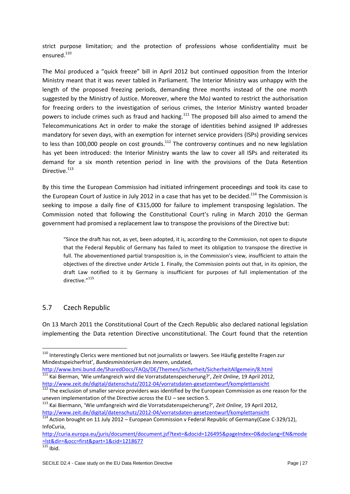strict purpose limitation; and the protection of professions whose confidentiality must be ensured.<sup>110</sup>

The MoJ produced a "quick freeze" bill in April 2012 but continued opposition from the Interior Ministry meant that it was never tabled in Parliament. The Interior Ministry was unhappy with the length of the proposed freezing periods, demanding three months instead of the one month suggested by the Ministry of Justice. Moreover, where the MoJ wanted to restrict the authorisation for freezing orders to the investigation of serious crimes, the Interior Ministry wanted broader powers to include crimes such as fraud and hacking.<sup>111</sup> The proposed bill also aimed to amend the Telecommunications Act in order to make the storage of identities behind assigned IP addresses mandatory for seven days, with an exemption for internet service providers (ISPs) providing services to less than 100,000 people on cost grounds.<sup>112</sup> The controversy continues and no new legislation has yet been introduced: the Interior Ministry wants the law to cover all ISPs and reiterated its demand for a six month retention period in line with the provisions of the Data Retention Directive.<sup>113</sup>

By this time the European Commission had initiated infringement proceedings and took its case to the European Court of Justice in July 2012 in a case that has yet to be decided.<sup>114</sup> The Commission is seeking to impose a daily fine of €315,000 for failure to implement transposing legislation. The Commission noted that following the Constitutional Court's ruling in March 2010 the German government had promised a replacement law to transpose the provisions of the Directive but:

"Since the draft has not, as yet, been adopted, it is, according to the Commission, not open to dispute that the Federal Republic of Germany has failed to meet its obligation to transpose the directive in full. The abovementioned partial transposition is, in the Commission's view, insufficient to attain the objectives of the directive under Article 1. Finally, the Commission points out that, in its opinion, the draft Law notified to it by Germany is insufficient for purposes of full implementation of the directive<sup>"115</sup>

#### <span id="page-26-0"></span>5.7 Czech Republic

On 13 March 2011 the Constitutional Court of the Czech Republic also declared national legislation implementing the Data retention Directive unconstitutional. The Court found that the retention

 $\overline{a}$ 

<sup>&</sup>lt;sup>110</sup> Interestingly Clerics were mentioned but not journalists or lawyers. See Häufig gestellte Fragen zur Mindestspeicherfrist', *Bundesministerium des Innern*, undated,

<http://www.bmi.bund.de/SharedDocs/FAQs/DE/Themen/Sicherheit/SicherheitAllgemein/8.html> <sup>111</sup> Kai Bierman, 'Wie umfangreich wird die Vorratsdatenspeicherung?', *Zeit Online*, 19 April 2012, <http://www.zeit.de/digital/datenschutz/2012-04/vorratsdaten-gesetzentwurf/komplettansicht>

<sup>&</sup>lt;sup>112</sup> The exclusion of smaller service providers was identified by the European Commission as one reason for the uneven implementation of the Directive across the EU – see section 5.

<sup>113</sup> Kai Biermann, 'Wie umfangreich wird die Vorratsdatenspeicherung?', *Zeit Online*, 19 April 2012, <http://www.zeit.de/digital/datenschutz/2012-04/vorratsdaten-gesetzentwurf/komplettansicht>

 $\frac{114}{114}$  Action brought on 11 July 2012 – European Commission v Federal Republic of Germany(Case C-329/12), InfoCuria,

[http://curia.europa.eu/juris/document/document.jsf?text=&docid=126495&pageIndex=0&doclang=EN&mode](http://curia.europa.eu/juris/document/document.jsf?text=&docid=126495&pageIndex=0&doclang=EN&mode=lst&dir=&occ=first&part=1&cid=1218677) [=lst&dir=&occ=first&part=1&cid=1218677](http://curia.europa.eu/juris/document/document.jsf?text=&docid=126495&pageIndex=0&doclang=EN&mode=lst&dir=&occ=first&part=1&cid=1218677)

 $\frac{115}{115}$  Ibid.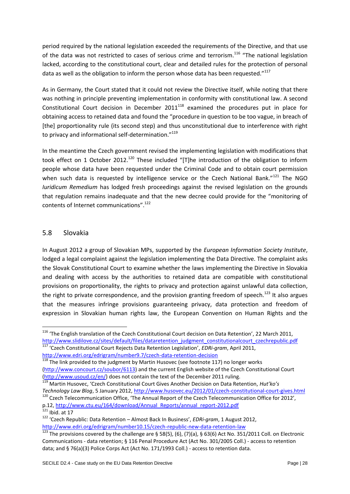period required by the national legislation exceeded the requirements of the Directive, and that use of the data was not restricted to cases of serious crime and terrorism.<sup>116</sup> "The national legislation lacked, according to the constitutional court, clear and detailed rules for the protection of personal data as well as the obligation to inform the person whose data has been requested."<sup>117</sup>

As in Germany, the Court stated that it could not review the Directive itself, while noting that there was nothing in principle preventing implementation in conformity with constitutional law. A second Constitutional Court decision in December  $2011^{118}$  examined the procedures put in place for obtaining access to retained data and found the "procedure in question to be too vague, in breach of [the] proportionality rule (its second step) and thus unconstitutional due to interference with right to privacy and informational self-determination."<sup>119</sup>

In the meantime the Czech government revised the implementing legislation with modifications that took effect on 1 October 2012.<sup>120</sup> These included "[T]he introduction of the obligation to inform people whose data have been requested under the Criminal Code and to obtain court permission when such data is requested by intelligence service or the Czech National Bank." $121$  The NGO *Iuridicum Remedium* has lodged fresh proceedings against the revised legislation on the grounds that regulation remains inadequate and that the new decree could provide for the "monitoring of contents of Internet communications".<sup>122</sup>

#### <span id="page-27-0"></span>5.8 Slovakia

In August 2012 a group of Slovakian MPs, supported by the *European Information Society Institute*, lodged a legal complaint against the legislation implementing the Data Directive. The complaint asks the Slovak Constitutional Court to examine whether the laws implementing the Directive in Slovakia and dealing with access by the authorities to retained data are compatible with constitutional provisions on proportionality, the rights to privacy and protection against unlawful data collection, the right to private correspondence, and the provision granting freedom of speech.<sup>123</sup> It also argues that the measures infringe provisions guaranteeing privacy, data protection and freedom of expression in Slovakian human rights law, the European Convention on Human Rights and the

```
http://www.edri.org/edrigram/number9.7/czech-data-retention-decision
```
<sup>119</sup> Martin Husovec, 'Czech Constitutional Court Gives Another Decision on Data Retention, *Hut'ko's Technology Law Blog*, 5 January 2012,<http://www.husovec.eu/2012/01/czech-constitutional-court-gives.html>

<sup>&</sup>lt;sup>116</sup> 'The English translation of the Czech Constitutional Court decision on Data Retention', 22 March 2011, [http://www.slidilove.cz/sites/default/files/dataretention\\_judgment\\_constitutionalcourt\\_czechrepublic.pdf](http://www.slidilove.cz/sites/default/files/dataretention_judgment_constitutionalcourt_czechrepublic.pdf) <sup>117</sup> 'Czech Constitutional Court Rejects Data Retention Legislation', *EDRi-gram*, April 2011,

<sup>&</sup>lt;sup>118</sup> The link provided to the judgment by Martin Husovec (see footnote 117) no longer works [\(http://www.concourt.cz/soubor/6113\)](http://www.concourt.cz/soubor/6113) and the current English website of the Czech Constitutional Court [\(http://www.usoud.cz/en/\)](http://www.usoud.cz/en/) does not contain the text of the December 2011 ruling.

<sup>120</sup> Czech Telecommunication Office, 'The Annual Report of the Czech Telecommunication Office for 2012', p.12[, http://www.ctu.eu/164/download/Annual\\_Reports/annual\\_report-2012.pdf](http://www.ctu.eu/164/download/Annual_Reports/annual_report-2012.pdf)

 $121$  Ibid. at 17

<sup>122</sup> 'Czech Republic: Data Retention – Almost Back In Business', *EDRi-gram*, 1 August 2012, <http://www.edri.org/edrigram/number10.15/czech-republic-new-data-retention-law>

<sup>123</sup> The provisions covered by the challenge are § 58(5), (6), (7)(a), § 63(6) Act No. 351/2011 Coll. on Electronic Communications - data retention; § 116 Penal Procedure Act (Act No. 301/2005 Coll.) - access to retention data; and § 76(a)(3) Police Corps Act (Act No. 171/1993 Coll.) - access to retention data.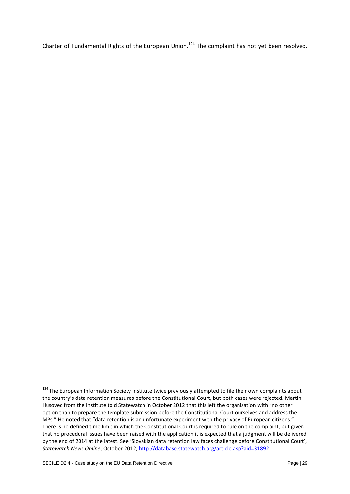Charter of Fundamental Rights of the European Union.<sup>124</sup> The complaint has not yet been resolved.

<sup>&</sup>lt;sup>124</sup> The European Information Society Institute twice previously attempted to file their own complaints about the country's data retention measures before the Constitutional Court, but both cases were rejected. Martin Husovec from the Institute told Statewatch in October 2012 that this left the organisation with "no other option than to prepare the template submission before the Constitutional Court ourselves and address the MPs." He noted that "data retention is an unfortunate experiment with the privacy of European citizens." There is no defined time limit in which the Constitutional Court is required to rule on the complaint, but given that no procedural issues have been raised with the application it is expected that a judgment will be delivered by the end of 2014 at the latest. See 'Slovakian data retention law faces challenge before Constitutional Court', *Statewatch News Online*, October 2012,<http://database.statewatch.org/article.asp?aid=31892>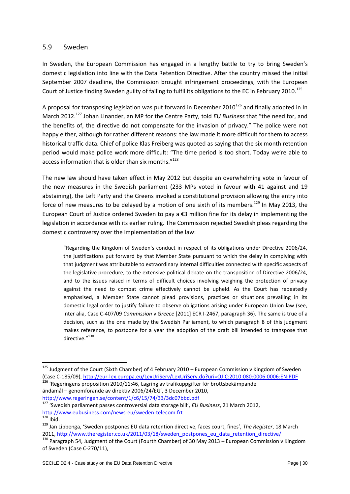#### <span id="page-29-0"></span>5.9 Sweden

In Sweden, the European Commission has engaged in a lengthy battle to try to bring Sweden's domestic legislation into line with the Data Retention Directive. After the country missed the initial September 2007 deadline, the Commission brought infringement proceedings, with the European Court of Justice finding Sweden guilty of failing to fulfil its obligations to the EC in February 2010.<sup>125</sup>

A proposal for transposing legislation was put forward in December 2010<sup>126</sup> and finally adopted in In March 2012. <sup>127</sup> Johan Linander, an MP for the Centre Party, told *EU Business* that "the need for, and the benefits of, the directive do not compensate for the invasion of privacy." The police were not happy either, although for rather different reasons: the law made it more difficult for them to access historical traffic data. Chief of police Klas Freiberg was quoted as saying that the six month retention period would make police work more difficult: "The time period is too short. Today we're able to access information that is older than six months."<sup>128</sup>

The new law should have taken effect in May 2012 but despite an overwhelming vote in favour of the new measures in the Swedish parliament (233 MPs voted in favour with 41 against and 19 abstaining), the Left Party and the Greens invoked a constitutional provision allowing the entry into force of new measures to be delayed by a motion of one sixth of its members.<sup>129</sup> In May 2013, the European Court of Justice ordered Sweden to pay a €3 million fine for its delay in implementing the legislation in accordance with its earlier ruling. The Commission rejected Swedish pleas regarding the domestic controversy over the implementation of the law:

"Regarding the Kingdom of Sweden's conduct in respect of its obligations under Directive 2006/24, the justifications put forward by that Member State pursuant to which the delay in complying with that judgment was attributable to extraordinary internal difficulties connected with specific aspects of the legislative procedure, to the extensive political debate on the transposition of Directive 2006/24, and to the issues raised in terms of difficult choices involving weighing the protection of privacy against the need to combat crime effectively cannot be upheld. As the Court has repeatedly emphasised, a Member State cannot plead provisions, practices or situations prevailing in its domestic legal order to justify failure to observe obligations arising under European Union law (see, inter alia, Case C-407/09 *Commission* v *Greece* [2011] ECR I-2467, paragraph 36). The same is true of a decision, such as the one made by the Swedish Parliament, to which paragraph 8 of this judgment makes reference, to postpone for a year the adoption of the draft bill intended to transpose that directive<sup>"130</sup>

<http://www.regeringen.se/content/1/c6/15/74/33/3dc07bbd.pdf>

 $\overline{a}$ 

<sup>&</sup>lt;sup>125</sup> Judgment of the Court (Sixth Chamber) of 4 February 2010 – European Commission v Kingdom of Sweden (Case C-185/09)[, http://eur-lex.europa.eu/LexUriServ/LexUriServ.do?uri=OJ:C:2010:080:0006:0006:EN:PDF](http://eur-lex.europa.eu/LexUriServ/LexUriServ.do?uri=OJ:C:2010:080:0006:0006:EN:PDF) 126 'Regeringens proposition 2010/11:46, Lagring av trafikuppgifter för brottsbekämpande ändamål – genomförande av direktiv 2006/24/EG', 3 December 2010,

<sup>127</sup> 'Swedish parliament passes controversial data storage bill', *EU Business*, 21 March 2012, <http://www.eubusiness.com/news-eu/sweden-telecom.frt>  $\overline{\frac{128}{128}}$  Ibid.

<sup>129</sup> Jan Libbenga, 'Sweden postpones EU data retention directive, faces court, fines', *The Register*, 18 March 2011, [http://www.theregister.co.uk/2011/03/18/sweden\\_postpones\\_eu\\_data\\_retention\\_directive/](http://www.theregister.co.uk/2011/03/18/sweden_postpones_eu_data_retention_directive/)

<sup>130</sup> Paragraph 54, Judgment of the Court (Fourth Chamber) of 30 May 2013 – European Commission v Kingdom of Sweden (Case C-270/11),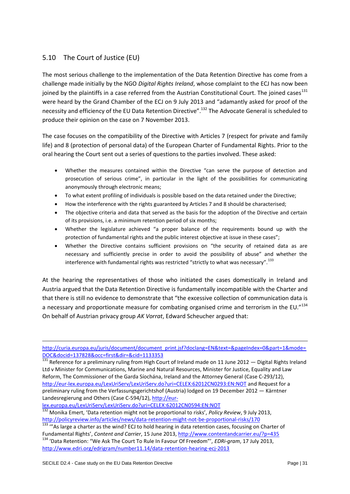# <span id="page-30-0"></span>5.10 The Court of Justice (EU)

The most serious challenge to the implementation of the Data Retention Directive has come from a challenge made initially by the NGO *Digital Rights Ireland*, whose complaint to the ECJ has now been joined by the plaintiffs in a case referred from the Austrian Constitutional Court. The joined cases<sup>131</sup> were heard by the Grand Chamber of the ECJ on 9 July 2013 and "adamantly asked for proof of the necessity and efficiency of the EU Data Retention Directive".<sup>132</sup> The Advocate General is scheduled to produce their opinion on the case on 7 November 2013.

The case focuses on the compatibility of the Directive with Articles 7 (respect for private and family life) and 8 (protection of personal data) of the European Charter of Fundamental Rights. Prior to the oral hearing the Court sent out a series of questions to the parties involved. These asked:

- Whether the measures contained within the Directive "can serve the purpose of detection and prosecution of serious crime", in particular in the light of the possibilities for communicating anonymously through electronic means;
- To what extent profiling of individuals is possible based on the data retained under the Directive;
- How the interference with the rights guaranteed by Articles 7 and 8 should be characterised;
- The objective criteria and data that served as the basis for the adoption of the Directive and certain of its provisions, i.e. a minimum retention period of six months;
- Whether the legislature achieved "a proper balance of the requirements bound up with the protection of fundamental rights and the public interest objective at issue in these cases";
- Whether the Directive contains sufficient provisions on "the security of retained data as are necessary and sufficiently precise in order to avoid the possibility of abuse" and whether the interference with fundamental rights was restricted "strictly to what was necessary".<sup>133</sup>

At the hearing the representatives of those who initiated the cases domestically in Ireland and Austria argued that the Data Retention Directive is fundamentally incompatible with the Charter and that there is still no evidence to demonstrate that "the excessive collection of communication data is a necessary and proportionate measure for combating organised crime and terrorism in the EU."134 On behalf of Austrian privacy group *AK Vorrat*, Edward Scheucher argued that:

[lex.europa.eu/LexUriServ/LexUriServ.do?uri=CELEX:62012CN0594:EN:NOT](http://eur-lex.europa.eu/LexUriServ/LexUriServ.do?uri=CELEX:62012CN0594:EN:NOT)

[http://curia.europa.eu/juris/document/document\\_print.jsf?doclang=EN&text=&pageIndex=0&part=1&mode=](http://curia.europa.eu/juris/document/document_print.jsf?doclang=EN&text=&pageIndex=0&part=1&mode=DOC&docid=137828&occ=first&dir=&cid=1133353) [DOC&docid=137828&occ=first&dir=&cid=1133353](http://curia.europa.eu/juris/document/document_print.jsf?doclang=EN&text=&pageIndex=0&part=1&mode=DOC&docid=137828&occ=first&dir=&cid=1133353)

 $\frac{131}{131}$  Reference for a preliminary ruling from High Court of Ireland made on 11 June 2012  $-$  Digital Rights Ireland Ltd v Minister for Communications, Marine and Natural Resources, Minister for Justice, Equality and Law Reform, The Commissioner of the Garda Síochána, Ireland and the Attorney General (Case C-293/12), <http://eur-lex.europa.eu/LexUriServ/LexUriServ.do?uri=CELEX:62012CN0293:EN:NOT> and Request for a preliminary ruling from the Verfassungsgerichtshof (Austria) lodged on 19 December 2012 — Kärntner Landesregierung and Others (Case C-594/12), [http://eur-](http://eur-lex.europa.eu/LexUriServ/LexUriServ.do?uri=CELEX:62012CN0594:EN:NOT)

<sup>132</sup> Monika Emert, 'Data retention might not be proportional to risks', *Policy Review*, 9 July 2013, <http://policyreview.info/articles/news/data-retention-might-not-be-proportional-risks/170>

<sup>133 &</sup>quot;As large a charter as the wind? ECJ to hold hearing in data retention cases, focusing on Charter of Fundamental Rights', *Content and Carrier*, 15 June 2013,<http://www.contentandcarrier.eu/?p=435> <sup>134</sup> 'Data Retention: "We Ask The Court To Rule In Favour Of Freedom"', *EDRi-gram*, 17 July 2013, <http://www.edri.org/edrigram/number11.14/data-retention-hearing-ecj-2013>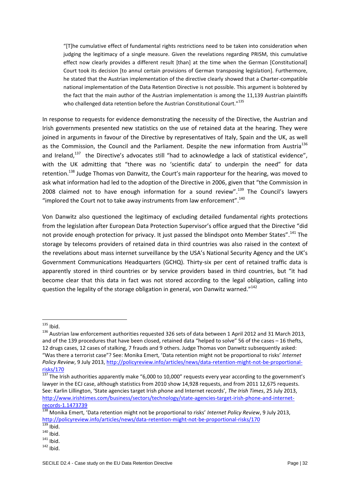"[T]he cumulative effect of fundamental rights restrictions need to be taken into consideration when judging the legitimacy of a single measure. Given the revelations regarding PRISM, this cumulative effect now clearly provides a different result [than] at the time when the German [Constitutional] Court took its decision [to annul certain provisions of German transposing legislation]. Furthermore, he stated that the Austrian implementation of the directive clearly showed that a Charter-compatible national implementation of the Data Retention Directive is not possible. This argument is bolstered by the fact that the main author of the Austrian implementation is among the 11,139 Austrian plaintiffs who challenged data retention before the Austrian Constitutional Court."<sup>135</sup>

In response to requests for evidence demonstrating the necessity of the Directive, the Austrian and Irish governments presented new statistics on the use of retained data at the hearing. They were joined in arguments in favour of the Directive by representatives of Italy, Spain and the UK, as well as the Commission, the Council and the Parliament. Despite the new information from Austria<sup>136</sup> and Ireland,<sup>137</sup> the Directive's advocates still "had to acknowledge a lack of statistical evidence", with the UK admitting that "there was no 'scientific data' to underpin the need" for data retention.<sup>138</sup> Judge Thomas von Danwitz, the Court's main rapporteur for the hearing, was moved to ask what information had led to the adoption of the Directive in 2006, given that "the Commission in 2008 claimed not to have enough information for a sound review".<sup>139</sup> The Council's lawyers "implored the Court not to take away instruments from law enforcement". $^{140}$ 

Von Danwitz also questioned the legitimacy of excluding detailed fundamental rights protections from the legislation after European Data Protection Supervisor's office argued that the Directive "did not provide enough protection for privacy. It just passed the blindspot onto Member States".<sup>141</sup> The storage by telecoms providers of retained data in third countries was also raised in the context of the revelations about mass internet surveillance by the USA's National Security Agency and the UK's Government Communications Headquarters (GCHQ). Thirty-six per cent of retained traffic data is apparently stored in third countries or by service providers based in third countries, but "it had become clear that this data in fact was not stored according to the legal obligation, calling into question the legality of the storage obligation in general, von Danwitz warned."<sup>142</sup>

<sup>1</sup>  $135$  Ibid.

<sup>&</sup>lt;sup>136</sup> Austrian law enforcement authorities requested 326 sets of data between 1 April 2012 and 31 March 2013, and of the 139 procedures that have been closed, retained data "helped to solve" 56 of the cases – 16 thefts, 12 drugs cases, 12 cases of stalking, 7 frauds and 9 others. Judge Thomas von Danwitz subsequently asked: "Was there a terrorist case"? See: Monika Emert, 'Data retention might not be proportional to risks' *Internet Policy Review*, 9 July 2013, [http://policyreview.info/articles/news/data-retention-might-not-be-proportional](http://policyreview.info/articles/news/data-retention-might-not-be-proportional-risks/170)[risks/170](http://policyreview.info/articles/news/data-retention-might-not-be-proportional-risks/170)

 $\frac{137}{137}$  The Irish authorities apparently make "6,000 to 10,000" requests every year according to the government's lawyer in the ECJ case, although statistics from 2010 show 14,928 requests, and from 2011 12,675 requests. See: Karlin Lillington, 'State agencies target Irish phone and Internet records', *The Irish Times*, 25 July 2013, [http://www.irishtimes.com/business/sectors/technology/state-agencies-target-irish-phone-and-internet](http://www.irishtimes.com/business/sectors/technology/state-agencies-target-irish-phone-and-internet-records-1.1473739)[records-1.1473739](http://www.irishtimes.com/business/sectors/technology/state-agencies-target-irish-phone-and-internet-records-1.1473739)

<sup>138</sup> Monika Emert, 'Data retention might not be proportional to risks' *Internet Policy Review*, 9 July 2013, <http://policyreview.info/articles/news/data-retention-might-not-be-proportional-risks/170>

 $\frac{139}{139}$  Ibid.

 $140$  Ibid.

 $141$  Ibid.

 $142$  Ibid.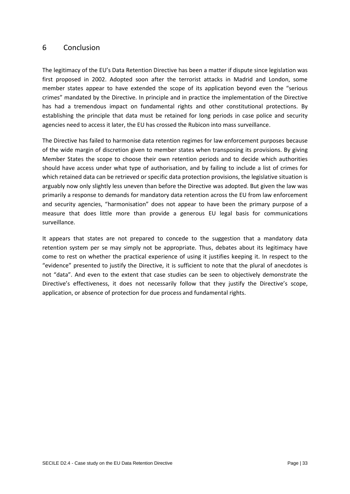#### <span id="page-32-0"></span>6 Conclusion

The legitimacy of the EU's Data Retention Directive has been a matter if dispute since legislation was first proposed in 2002. Adopted soon after the terrorist attacks in Madrid and London, some member states appear to have extended the scope of its application beyond even the "serious crimes" mandated by the Directive. In principle and in practice the implementation of the Directive has had a tremendous impact on fundamental rights and other constitutional protections. By establishing the principle that data must be retained for long periods in case police and security agencies need to access it later, the EU has crossed the Rubicon into mass surveillance.

The Directive has failed to harmonise data retention regimes for law enforcement purposes because of the wide margin of discretion given to member states when transposing its provisions. By giving Member States the scope to choose their own retention periods and to decide which authorities should have access under what type of authorisation, and by failing to include a list of crimes for which retained data can be retrieved or specific data protection provisions, the legislative situation is arguably now only slightly less uneven than before the Directive was adopted. But given the law was primarily a response to demands for mandatory data retention across the EU from law enforcement and security agencies, "harmonisation" does not appear to have been the primary purpose of a measure that does little more than provide a generous EU legal basis for communications surveillance.

It appears that states are not prepared to concede to the suggestion that a mandatory data retention system per se may simply not be appropriate. Thus, debates about its legitimacy have come to rest on whether the practical experience of using it justifies keeping it. In respect to the "evidence" presented to justify the Directive, it is sufficient to note that the plural of anecdotes is not "data". And even to the extent that case studies can be seen to objectively demonstrate the Directive's effectiveness, it does not necessarily follow that they justify the Directive's scope, application, or absence of protection for due process and fundamental rights.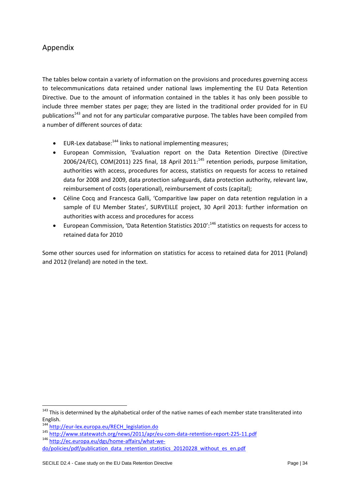# <span id="page-33-0"></span>Appendix

The tables below contain a variety of information on the provisions and procedures governing access to telecommunications data retained under national laws implementing the EU Data Retention Directive. Due to the amount of information contained in the tables it has only been possible to include three member states per page; they are listed in the traditional order provided for in EU publications<sup>143</sup> and not for any particular comparative purpose. The tables have been compiled from a number of different sources of data:

- **EUR-Lex database:**<sup>144</sup> links to national implementing measures;
- European Commission, 'Evaluation report on the Data Retention Directive (Directive 2006/24/EC), COM(2011) 225 final, 18 April 2011: $^{145}$  retention periods, purpose limitation, authorities with access, procedures for access, statistics on requests for access to retained data for 2008 and 2009, data protection safeguards, data protection authority, relevant law, reimbursement of costs (operational), reimbursement of costs (capital);
- Céline Cocq and Francesca Galli, 'Comparitive law paper on data retention regulation in a sample of EU Member States', SURVEILLE project, 30 April 2013: further information on authorities with access and procedures for access
- European Commission, 'Data Retention Statistics 2010':<sup>146</sup> statistics on requests for access to retained data for 2010

Some other sources used for information on statistics for access to retained data for 2011 (Poland) and 2012 (Ireland) are noted in the text.

<sup>&</sup>lt;sup>143</sup> This is determined by the alphabetical order of the native names of each member state transliterated into English.

<sup>144</sup> [http://eur-lex.europa.eu/RECH\\_legislation.do](http://eur-lex.europa.eu/RECH_legislation.do)

<sup>145</sup> <http://www.statewatch.org/news/2011/apr/eu-com-data-retention-report-225-11.pdf>

<sup>146</sup> [http://ec.europa.eu/dgs/home-affairs/what-we-](http://ec.europa.eu/dgs/home-affairs/what-we-do/policies/pdf/publication_data_retention_statistics_20120228_without_es_en.pdf)

[do/policies/pdf/publication\\_data\\_retention\\_statistics\\_20120228\\_without\\_es\\_en.pdf](http://ec.europa.eu/dgs/home-affairs/what-we-do/policies/pdf/publication_data_retention_statistics_20120228_without_es_en.pdf)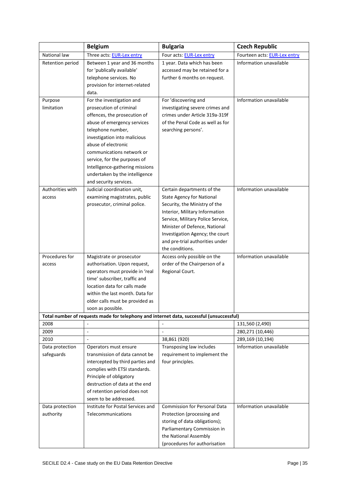| National law<br>Three acts: EUR-Lex entry<br>Four acts: EUR-Lex entry<br>Fourteen acts: EUR-Lex entry<br>Information unavailable<br>Retention period<br>Between 1 year and 36 months<br>1 year. Data which has been<br>for 'publically available'<br>accessed may be retained for a<br>telephone services. No<br>further 6 months on request.<br>provision for internet-related<br>data.<br>For 'discovering and<br>Information unavailable<br>Purpose<br>For the investigation and<br>limitation<br>prosecution of criminal<br>investigating severe crimes and<br>offences, the prosecution of<br>crimes under Article 319a-319f<br>abuse of emergency services<br>of the Penal Code as well as for<br>telephone number,<br>searching persons'.<br>investigation into malicious<br>abuse of electronic<br>communications network or<br>service, for the purposes of<br>Intelligence-gathering missions<br>undertaken by the intelligence<br>and security services.<br>Authorities with<br>Judicial coordination unit,<br>Information unavailable<br>Certain departments of the<br>examining magistrates, public<br><b>State Agency for National</b><br>access<br>prosecutor, criminal police.<br>Security, the Ministry of the<br>Interior, Military Information<br>Service, Military Police Service,<br>Minister of Defence, National<br>Investigation Agency; the court<br>and pre-trial authorities under<br>the conditions.<br>Information unavailable<br>Procedures for<br>Access only possible on the<br>Magistrate or prosecutor<br>order of the Chairperson of a<br>authorisation. Upon request,<br>access<br>operators must provide in 'real<br>Regional Court.<br>time' subscriber, traffic and<br>location data for calls made<br>within the last month. Data for<br>older calls must be provided as<br>soon as possible.<br>Total number of requests made for telephony and internet data, successful (unsuccessful)<br>2008<br>131,560 (2,490)<br>2009<br>280,271 (10,446)<br>$\Box$<br>$\overline{\phantom{a}}$<br>2010<br>38,861 (920)<br>289,169 (10,194)<br>Transposing law includes<br>Information unavailable<br>Data protection<br>Operators must ensure<br>transmission of data cannot be<br>safeguards<br>requirement to implement the<br>four principles.<br>intercepted by third parties and<br>complies with ETSI standards. |
|--------------------------------------------------------------------------------------------------------------------------------------------------------------------------------------------------------------------------------------------------------------------------------------------------------------------------------------------------------------------------------------------------------------------------------------------------------------------------------------------------------------------------------------------------------------------------------------------------------------------------------------------------------------------------------------------------------------------------------------------------------------------------------------------------------------------------------------------------------------------------------------------------------------------------------------------------------------------------------------------------------------------------------------------------------------------------------------------------------------------------------------------------------------------------------------------------------------------------------------------------------------------------------------------------------------------------------------------------------------------------------------------------------------------------------------------------------------------------------------------------------------------------------------------------------------------------------------------------------------------------------------------------------------------------------------------------------------------------------------------------------------------------------------------------------------------------------------------------------------------------------------------------------------------------------------------------------------------------------------------------------------------------------------------------------------------------------------------------------------------------------------------------------------------------------------------------------------------------------------------------------------------------------------------------------------------------------------------------------|
|                                                                                                                                                                                                                                                                                                                                                                                                                                                                                                                                                                                                                                                                                                                                                                                                                                                                                                                                                                                                                                                                                                                                                                                                                                                                                                                                                                                                                                                                                                                                                                                                                                                                                                                                                                                                                                                                                                                                                                                                                                                                                                                                                                                                                                                                                                                                                        |
|                                                                                                                                                                                                                                                                                                                                                                                                                                                                                                                                                                                                                                                                                                                                                                                                                                                                                                                                                                                                                                                                                                                                                                                                                                                                                                                                                                                                                                                                                                                                                                                                                                                                                                                                                                                                                                                                                                                                                                                                                                                                                                                                                                                                                                                                                                                                                        |
|                                                                                                                                                                                                                                                                                                                                                                                                                                                                                                                                                                                                                                                                                                                                                                                                                                                                                                                                                                                                                                                                                                                                                                                                                                                                                                                                                                                                                                                                                                                                                                                                                                                                                                                                                                                                                                                                                                                                                                                                                                                                                                                                                                                                                                                                                                                                                        |
|                                                                                                                                                                                                                                                                                                                                                                                                                                                                                                                                                                                                                                                                                                                                                                                                                                                                                                                                                                                                                                                                                                                                                                                                                                                                                                                                                                                                                                                                                                                                                                                                                                                                                                                                                                                                                                                                                                                                                                                                                                                                                                                                                                                                                                                                                                                                                        |
|                                                                                                                                                                                                                                                                                                                                                                                                                                                                                                                                                                                                                                                                                                                                                                                                                                                                                                                                                                                                                                                                                                                                                                                                                                                                                                                                                                                                                                                                                                                                                                                                                                                                                                                                                                                                                                                                                                                                                                                                                                                                                                                                                                                                                                                                                                                                                        |
|                                                                                                                                                                                                                                                                                                                                                                                                                                                                                                                                                                                                                                                                                                                                                                                                                                                                                                                                                                                                                                                                                                                                                                                                                                                                                                                                                                                                                                                                                                                                                                                                                                                                                                                                                                                                                                                                                                                                                                                                                                                                                                                                                                                                                                                                                                                                                        |
|                                                                                                                                                                                                                                                                                                                                                                                                                                                                                                                                                                                                                                                                                                                                                                                                                                                                                                                                                                                                                                                                                                                                                                                                                                                                                                                                                                                                                                                                                                                                                                                                                                                                                                                                                                                                                                                                                                                                                                                                                                                                                                                                                                                                                                                                                                                                                        |
|                                                                                                                                                                                                                                                                                                                                                                                                                                                                                                                                                                                                                                                                                                                                                                                                                                                                                                                                                                                                                                                                                                                                                                                                                                                                                                                                                                                                                                                                                                                                                                                                                                                                                                                                                                                                                                                                                                                                                                                                                                                                                                                                                                                                                                                                                                                                                        |
|                                                                                                                                                                                                                                                                                                                                                                                                                                                                                                                                                                                                                                                                                                                                                                                                                                                                                                                                                                                                                                                                                                                                                                                                                                                                                                                                                                                                                                                                                                                                                                                                                                                                                                                                                                                                                                                                                                                                                                                                                                                                                                                                                                                                                                                                                                                                                        |
|                                                                                                                                                                                                                                                                                                                                                                                                                                                                                                                                                                                                                                                                                                                                                                                                                                                                                                                                                                                                                                                                                                                                                                                                                                                                                                                                                                                                                                                                                                                                                                                                                                                                                                                                                                                                                                                                                                                                                                                                                                                                                                                                                                                                                                                                                                                                                        |
|                                                                                                                                                                                                                                                                                                                                                                                                                                                                                                                                                                                                                                                                                                                                                                                                                                                                                                                                                                                                                                                                                                                                                                                                                                                                                                                                                                                                                                                                                                                                                                                                                                                                                                                                                                                                                                                                                                                                                                                                                                                                                                                                                                                                                                                                                                                                                        |
|                                                                                                                                                                                                                                                                                                                                                                                                                                                                                                                                                                                                                                                                                                                                                                                                                                                                                                                                                                                                                                                                                                                                                                                                                                                                                                                                                                                                                                                                                                                                                                                                                                                                                                                                                                                                                                                                                                                                                                                                                                                                                                                                                                                                                                                                                                                                                        |
|                                                                                                                                                                                                                                                                                                                                                                                                                                                                                                                                                                                                                                                                                                                                                                                                                                                                                                                                                                                                                                                                                                                                                                                                                                                                                                                                                                                                                                                                                                                                                                                                                                                                                                                                                                                                                                                                                                                                                                                                                                                                                                                                                                                                                                                                                                                                                        |
|                                                                                                                                                                                                                                                                                                                                                                                                                                                                                                                                                                                                                                                                                                                                                                                                                                                                                                                                                                                                                                                                                                                                                                                                                                                                                                                                                                                                                                                                                                                                                                                                                                                                                                                                                                                                                                                                                                                                                                                                                                                                                                                                                                                                                                                                                                                                                        |
|                                                                                                                                                                                                                                                                                                                                                                                                                                                                                                                                                                                                                                                                                                                                                                                                                                                                                                                                                                                                                                                                                                                                                                                                                                                                                                                                                                                                                                                                                                                                                                                                                                                                                                                                                                                                                                                                                                                                                                                                                                                                                                                                                                                                                                                                                                                                                        |
|                                                                                                                                                                                                                                                                                                                                                                                                                                                                                                                                                                                                                                                                                                                                                                                                                                                                                                                                                                                                                                                                                                                                                                                                                                                                                                                                                                                                                                                                                                                                                                                                                                                                                                                                                                                                                                                                                                                                                                                                                                                                                                                                                                                                                                                                                                                                                        |
|                                                                                                                                                                                                                                                                                                                                                                                                                                                                                                                                                                                                                                                                                                                                                                                                                                                                                                                                                                                                                                                                                                                                                                                                                                                                                                                                                                                                                                                                                                                                                                                                                                                                                                                                                                                                                                                                                                                                                                                                                                                                                                                                                                                                                                                                                                                                                        |
|                                                                                                                                                                                                                                                                                                                                                                                                                                                                                                                                                                                                                                                                                                                                                                                                                                                                                                                                                                                                                                                                                                                                                                                                                                                                                                                                                                                                                                                                                                                                                                                                                                                                                                                                                                                                                                                                                                                                                                                                                                                                                                                                                                                                                                                                                                                                                        |
|                                                                                                                                                                                                                                                                                                                                                                                                                                                                                                                                                                                                                                                                                                                                                                                                                                                                                                                                                                                                                                                                                                                                                                                                                                                                                                                                                                                                                                                                                                                                                                                                                                                                                                                                                                                                                                                                                                                                                                                                                                                                                                                                                                                                                                                                                                                                                        |
|                                                                                                                                                                                                                                                                                                                                                                                                                                                                                                                                                                                                                                                                                                                                                                                                                                                                                                                                                                                                                                                                                                                                                                                                                                                                                                                                                                                                                                                                                                                                                                                                                                                                                                                                                                                                                                                                                                                                                                                                                                                                                                                                                                                                                                                                                                                                                        |
|                                                                                                                                                                                                                                                                                                                                                                                                                                                                                                                                                                                                                                                                                                                                                                                                                                                                                                                                                                                                                                                                                                                                                                                                                                                                                                                                                                                                                                                                                                                                                                                                                                                                                                                                                                                                                                                                                                                                                                                                                                                                                                                                                                                                                                                                                                                                                        |
|                                                                                                                                                                                                                                                                                                                                                                                                                                                                                                                                                                                                                                                                                                                                                                                                                                                                                                                                                                                                                                                                                                                                                                                                                                                                                                                                                                                                                                                                                                                                                                                                                                                                                                                                                                                                                                                                                                                                                                                                                                                                                                                                                                                                                                                                                                                                                        |
|                                                                                                                                                                                                                                                                                                                                                                                                                                                                                                                                                                                                                                                                                                                                                                                                                                                                                                                                                                                                                                                                                                                                                                                                                                                                                                                                                                                                                                                                                                                                                                                                                                                                                                                                                                                                                                                                                                                                                                                                                                                                                                                                                                                                                                                                                                                                                        |
|                                                                                                                                                                                                                                                                                                                                                                                                                                                                                                                                                                                                                                                                                                                                                                                                                                                                                                                                                                                                                                                                                                                                                                                                                                                                                                                                                                                                                                                                                                                                                                                                                                                                                                                                                                                                                                                                                                                                                                                                                                                                                                                                                                                                                                                                                                                                                        |
|                                                                                                                                                                                                                                                                                                                                                                                                                                                                                                                                                                                                                                                                                                                                                                                                                                                                                                                                                                                                                                                                                                                                                                                                                                                                                                                                                                                                                                                                                                                                                                                                                                                                                                                                                                                                                                                                                                                                                                                                                                                                                                                                                                                                                                                                                                                                                        |
|                                                                                                                                                                                                                                                                                                                                                                                                                                                                                                                                                                                                                                                                                                                                                                                                                                                                                                                                                                                                                                                                                                                                                                                                                                                                                                                                                                                                                                                                                                                                                                                                                                                                                                                                                                                                                                                                                                                                                                                                                                                                                                                                                                                                                                                                                                                                                        |
|                                                                                                                                                                                                                                                                                                                                                                                                                                                                                                                                                                                                                                                                                                                                                                                                                                                                                                                                                                                                                                                                                                                                                                                                                                                                                                                                                                                                                                                                                                                                                                                                                                                                                                                                                                                                                                                                                                                                                                                                                                                                                                                                                                                                                                                                                                                                                        |
|                                                                                                                                                                                                                                                                                                                                                                                                                                                                                                                                                                                                                                                                                                                                                                                                                                                                                                                                                                                                                                                                                                                                                                                                                                                                                                                                                                                                                                                                                                                                                                                                                                                                                                                                                                                                                                                                                                                                                                                                                                                                                                                                                                                                                                                                                                                                                        |
|                                                                                                                                                                                                                                                                                                                                                                                                                                                                                                                                                                                                                                                                                                                                                                                                                                                                                                                                                                                                                                                                                                                                                                                                                                                                                                                                                                                                                                                                                                                                                                                                                                                                                                                                                                                                                                                                                                                                                                                                                                                                                                                                                                                                                                                                                                                                                        |
| Principle of obligatory                                                                                                                                                                                                                                                                                                                                                                                                                                                                                                                                                                                                                                                                                                                                                                                                                                                                                                                                                                                                                                                                                                                                                                                                                                                                                                                                                                                                                                                                                                                                                                                                                                                                                                                                                                                                                                                                                                                                                                                                                                                                                                                                                                                                                                                                                                                                |
| destruction of data at the end                                                                                                                                                                                                                                                                                                                                                                                                                                                                                                                                                                                                                                                                                                                                                                                                                                                                                                                                                                                                                                                                                                                                                                                                                                                                                                                                                                                                                                                                                                                                                                                                                                                                                                                                                                                                                                                                                                                                                                                                                                                                                                                                                                                                                                                                                                                         |
| of retention period does not                                                                                                                                                                                                                                                                                                                                                                                                                                                                                                                                                                                                                                                                                                                                                                                                                                                                                                                                                                                                                                                                                                                                                                                                                                                                                                                                                                                                                                                                                                                                                                                                                                                                                                                                                                                                                                                                                                                                                                                                                                                                                                                                                                                                                                                                                                                           |
| seem to be addressed.                                                                                                                                                                                                                                                                                                                                                                                                                                                                                                                                                                                                                                                                                                                                                                                                                                                                                                                                                                                                                                                                                                                                                                                                                                                                                                                                                                                                                                                                                                                                                                                                                                                                                                                                                                                                                                                                                                                                                                                                                                                                                                                                                                                                                                                                                                                                  |
| Information unavailable<br>Institute for Postal Services and<br><b>Commission for Personal Data</b><br>Data protection                                                                                                                                                                                                                                                                                                                                                                                                                                                                                                                                                                                                                                                                                                                                                                                                                                                                                                                                                                                                                                                                                                                                                                                                                                                                                                                                                                                                                                                                                                                                                                                                                                                                                                                                                                                                                                                                                                                                                                                                                                                                                                                                                                                                                                 |
| Telecommunications<br>authority<br>Protection (processing and                                                                                                                                                                                                                                                                                                                                                                                                                                                                                                                                                                                                                                                                                                                                                                                                                                                                                                                                                                                                                                                                                                                                                                                                                                                                                                                                                                                                                                                                                                                                                                                                                                                                                                                                                                                                                                                                                                                                                                                                                                                                                                                                                                                                                                                                                          |
| storing of data obligations);                                                                                                                                                                                                                                                                                                                                                                                                                                                                                                                                                                                                                                                                                                                                                                                                                                                                                                                                                                                                                                                                                                                                                                                                                                                                                                                                                                                                                                                                                                                                                                                                                                                                                                                                                                                                                                                                                                                                                                                                                                                                                                                                                                                                                                                                                                                          |
| Parliamentary Commission in                                                                                                                                                                                                                                                                                                                                                                                                                                                                                                                                                                                                                                                                                                                                                                                                                                                                                                                                                                                                                                                                                                                                                                                                                                                                                                                                                                                                                                                                                                                                                                                                                                                                                                                                                                                                                                                                                                                                                                                                                                                                                                                                                                                                                                                                                                                            |
| the National Assembly                                                                                                                                                                                                                                                                                                                                                                                                                                                                                                                                                                                                                                                                                                                                                                                                                                                                                                                                                                                                                                                                                                                                                                                                                                                                                                                                                                                                                                                                                                                                                                                                                                                                                                                                                                                                                                                                                                                                                                                                                                                                                                                                                                                                                                                                                                                                  |
| (procedures for authorisation                                                                                                                                                                                                                                                                                                                                                                                                                                                                                                                                                                                                                                                                                                                                                                                                                                                                                                                                                                                                                                                                                                                                                                                                                                                                                                                                                                                                                                                                                                                                                                                                                                                                                                                                                                                                                                                                                                                                                                                                                                                                                                                                                                                                                                                                                                                          |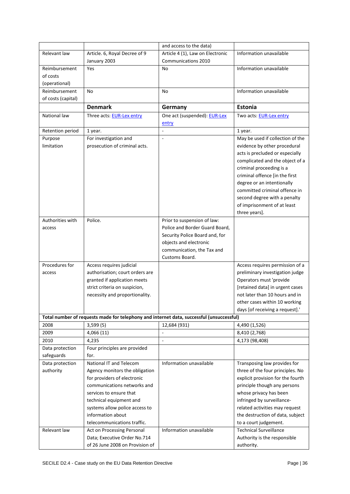|                    |                                                                                          | and access to the data)          |                                   |
|--------------------|------------------------------------------------------------------------------------------|----------------------------------|-----------------------------------|
| Relevant law       | Article. 6, Royal Decree of 9                                                            | Article 4 (1), Law on Electronic | Information unavailable           |
|                    | January 2003                                                                             | Communications 2010              |                                   |
| Reimbursement      | Yes                                                                                      | No                               | Information unavailable           |
| of costs           |                                                                                          |                                  |                                   |
| (operational)      |                                                                                          |                                  |                                   |
| Reimbursement      | No                                                                                       | No                               | Information unavailable           |
| of costs (capital) |                                                                                          |                                  |                                   |
|                    | <b>Denmark</b>                                                                           | Germany                          | Estonia                           |
| National law       | Three acts: <b>EUR-Lex entry</b>                                                         | One act (suspended): EUR-Lex     | Two acts: EUR-Lex entry           |
|                    |                                                                                          | entry                            |                                   |
| Retention period   | 1 year.                                                                                  | $\blacksquare$                   | 1 year.                           |
| Purpose            | For investigation and                                                                    | ÷,                               | May be used if collection of the  |
| limitation         | prosecution of criminal acts.                                                            |                                  | evidence by other procedural      |
|                    |                                                                                          |                                  | acts is precluded or especially   |
|                    |                                                                                          |                                  | complicated and the object of a   |
|                    |                                                                                          |                                  | criminal proceeding is a          |
|                    |                                                                                          |                                  | criminal offence [in the first    |
|                    |                                                                                          |                                  | degree or an intentionally        |
|                    |                                                                                          |                                  | committed criminal offence in     |
|                    |                                                                                          |                                  | second degree with a penalty      |
|                    |                                                                                          |                                  | of imprisonment of at least       |
|                    |                                                                                          |                                  | three years].                     |
| Authorities with   | Police.                                                                                  | Prior to suspension of law:      |                                   |
| access             |                                                                                          | Police and Border Guard Board,   |                                   |
|                    |                                                                                          | Security Police Board and, for   |                                   |
|                    |                                                                                          | objects and electronic           |                                   |
|                    |                                                                                          | communication, the Tax and       |                                   |
|                    |                                                                                          | Customs Board.                   |                                   |
| Procedures for     | Access requires judicial                                                                 |                                  | Access requires permission of a   |
| access             | authorisation; court orders are                                                          |                                  | preliminary investigation judge   |
|                    | granted if application meets                                                             |                                  | Operators must 'provide           |
|                    | strict criteria on suspicion,                                                            |                                  | [retained data] in urgent cases   |
|                    | necessity and proportionality.                                                           |                                  | not later than 10 hours and in    |
|                    |                                                                                          |                                  | other cases within 10 working     |
|                    |                                                                                          |                                  | days [of receiving a request].'   |
|                    | Total number of requests made for telephony and internet data, successful (unsuccessful) |                                  |                                   |
| 2008               | 3,599(5)                                                                                 | 12,684 (931)                     | 4,490 (1,526)                     |
| 2009               | 4,066(11)                                                                                | ÷,                               | 8,410 (2,768)                     |
| 2010               | 4,235                                                                                    | $\overline{\phantom{a}}$         | 4,173 (98,408)                    |
| Data protection    | Four principles are provided                                                             |                                  |                                   |
| safeguards         | for.                                                                                     |                                  |                                   |
| Data protection    | National IT and Telecom                                                                  | Information unavailable          | Transposing law provides for      |
| authority          | Agency monitors the obligation                                                           |                                  | three of the four principles. No  |
|                    | for providers of electronic                                                              |                                  | explicit provision for the fourth |
|                    | communications networks and                                                              |                                  | principle though any persons      |
|                    | services to ensure that                                                                  |                                  | whose privacy has been            |
|                    | technical equipment and                                                                  |                                  | infringed by surveillance-        |
|                    | systems allow police access to                                                           |                                  | related activities may request    |
|                    | information about                                                                        |                                  | the destruction of data, subject  |
|                    | telecommunications traffic.                                                              |                                  | to a court judgement.             |
| Relevant law       | Act on Processing Personal                                                               | Information unavailable          | <b>Technical Surveillance</b>     |
|                    | Data; Executive Order No.714                                                             |                                  | Authority is the responsible      |
|                    | of 26 June 2008 on Provision of                                                          |                                  | authority.                        |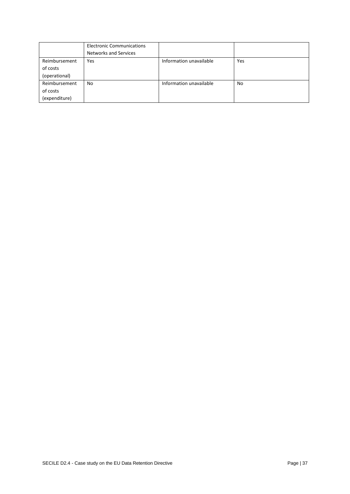|               | <b>Electronic Communications</b> |                         |     |
|---------------|----------------------------------|-------------------------|-----|
|               | <b>Networks and Services</b>     |                         |     |
| Reimbursement | Yes                              | Information unavailable | Yes |
| of costs      |                                  |                         |     |
| (operational) |                                  |                         |     |
| Reimbursement | No                               | Information unavailable | No  |
| of costs      |                                  |                         |     |
| (expenditure) |                                  |                         |     |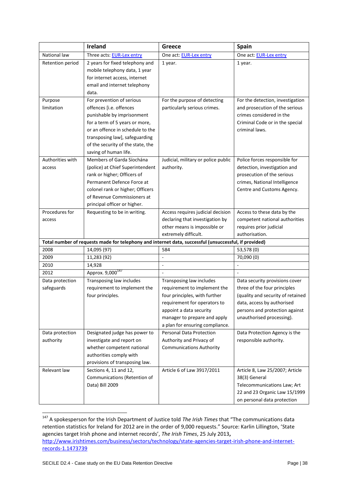|                               | Ireland                                                                                               | Greece                              | <b>Spain</b>                                                   |
|-------------------------------|-------------------------------------------------------------------------------------------------------|-------------------------------------|----------------------------------------------------------------|
| National law                  | Three acts: EUR-Lex entry                                                                             | One act: EUR-Lex entry              | One act: EUR-Lex entry                                         |
| Retention period              | 2 years for fixed telephony and                                                                       | 1 year.                             | 1 year.                                                        |
|                               | mobile telephony data, 1 year                                                                         |                                     |                                                                |
|                               | for internet access, internet                                                                         |                                     |                                                                |
|                               | email and internet telephony                                                                          |                                     |                                                                |
|                               | data.                                                                                                 |                                     |                                                                |
| Purpose                       | For prevention of serious                                                                             | For the purpose of detecting        | For the detection, investigation                               |
| limitation                    | offences [i.e. offences                                                                               | particularly serious crimes.        | and prosecution of the serious                                 |
|                               | punishable by imprisonment                                                                            |                                     | crimes considered in the                                       |
|                               | for a term of 5 years or more,                                                                        |                                     | Criminal Code or in the special                                |
|                               | or an offence in schedule to the                                                                      |                                     | criminal laws.                                                 |
|                               | transposing law], safeguarding                                                                        |                                     |                                                                |
|                               | of the security of the state, the                                                                     |                                     |                                                                |
|                               | saving of human life.                                                                                 |                                     |                                                                |
| Authorities with              | Members of Garda Síochána                                                                             | Judicial, military or police public | Police forces responsible for                                  |
| access                        | (police) at Chief Superintendent                                                                      | authority.                          | detection, investigation and                                   |
|                               | rank or higher; Officers of                                                                           |                                     | prosecution of the serious                                     |
|                               | Permanent Defence Force at                                                                            |                                     | crimes, National Intelligence                                  |
|                               | colonel rank or higher; Officers                                                                      |                                     | Centre and Customs Agency.                                     |
|                               | of Revenue Commissioners at                                                                           |                                     |                                                                |
|                               | principal officer or higher.                                                                          |                                     |                                                                |
| Procedures for                | Requesting to be in writing.                                                                          | Access requires judicial decision   | Access to these data by the                                    |
| access                        |                                                                                                       | declaring that investigation by     | competent national authorities                                 |
|                               |                                                                                                       | other means is impossible or        | requires prior judicial                                        |
|                               |                                                                                                       | extremely difficult.                | authorisation.                                                 |
| 2008                          | Total number of requests made for telephony and internet data, successful (unsuccessful, if provided) | 584                                 | 53,578 (0)                                                     |
| 2009                          | 14,095 (97)<br>11,283 (92)                                                                            | $\overline{\phantom{a}}$            | 70,090 (0)                                                     |
| 2010                          | 14,928                                                                                                | L.                                  |                                                                |
| 2012                          | Approx. 9,000 <sup>147</sup>                                                                          | ÷,                                  |                                                                |
|                               |                                                                                                       | Transposing law includes            |                                                                |
| Data protection<br>safeguards | Transposing law includes<br>requirement to implement the                                              | requirement to implement the        | Data security provisions cover<br>three of the four principles |
|                               | four principles.                                                                                      | four principles, with further       | (quality and security of retained                              |
|                               |                                                                                                       | requirement for operators to        | data, access by authorised                                     |
|                               |                                                                                                       | appoint a data security             | persons and protection against                                 |
|                               |                                                                                                       | manager to prepare and apply        | unauthorised processing).                                      |
|                               |                                                                                                       | a plan for ensuring compliance.     |                                                                |
| Data protection               | Designated judge has power to                                                                         | <b>Personal Data Protection</b>     | Data Protection Agency is the                                  |
| authority                     | investigate and report on                                                                             | Authority and Privacy of            | responsible authority.                                         |
|                               | whether competent national                                                                            | <b>Communications Authority</b>     |                                                                |
|                               | authorities comply with                                                                               |                                     |                                                                |
|                               | provisions of transposing law.                                                                        |                                     |                                                                |
| Relevant law                  | Sections 4, 11 and 12,                                                                                | Article 6 of Law 3917/2011          | Article 8, Law 25/2007; Article                                |
|                               | Communications (Retention of                                                                          |                                     | 38(3) General                                                  |
|                               | Data) Bill 2009                                                                                       |                                     | Telecommunications Law; Art                                    |
|                               |                                                                                                       |                                     | 22 and 23 Organic Law 15/1999                                  |
|                               |                                                                                                       |                                     | on personal data protection                                    |

<sup>&</sup>lt;sup>147</sup> A spokesperson for the Irish Department of Justice told *The Irish Times* that "The communications data retention statistics for Ireland for 2012 are in the order of 9,000 requests." Source: Karlin Lillington, 'State agencies target Irish phone and internet records', *The Irish Times*, 25 July 2013**,**  [http://www.irishtimes.com/business/sectors/technology/state-agencies-target-irish-phone-and-internet](http://www.irishtimes.com/business/sectors/technology/state-agencies-target-irish-phone-and-internet-records-1.1473739)[records-1.1473739](http://www.irishtimes.com/business/sectors/technology/state-agencies-target-irish-phone-and-internet-records-1.1473739)

 $\overline{a}$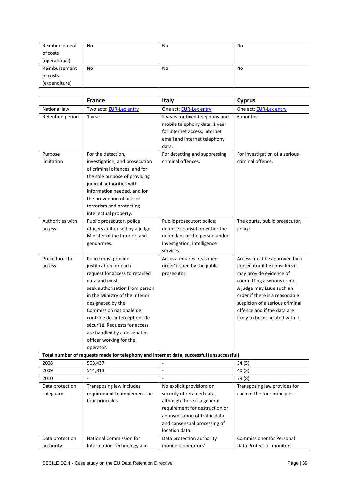| Reimbursement | No | No | No |
|---------------|----|----|----|
| of costs      |    |    |    |
| (operational) |    |    |    |
| Reimbursement | No | No | No |
| of costs      |    |    |    |
| (expenditure) |    |    |    |

|                  | <b>France</b>                                                                            | Italy                           | <b>Cyprus</b>                                                     |
|------------------|------------------------------------------------------------------------------------------|---------------------------------|-------------------------------------------------------------------|
| National law     | Two acts: EUR-Lex entry                                                                  | One act: EUR-Lex entry          | One act: EUR-Lex entry                                            |
| Retention period | 1 year.                                                                                  | 2 years for fixed telephony and | 6 months.                                                         |
|                  |                                                                                          | mobile telephony data, 1 year   |                                                                   |
|                  |                                                                                          | for internet access, internet   |                                                                   |
|                  |                                                                                          | email and internet telephony    |                                                                   |
|                  |                                                                                          | data.                           |                                                                   |
| Purpose          | For the detection,                                                                       | For detecting and suppressing   | For investigation of a serious                                    |
| limitation       | investigation, and prosecution                                                           | criminal offences.              | criminal offence.                                                 |
|                  | of criminal offences, and for                                                            |                                 |                                                                   |
|                  | the sole purpose of providing                                                            |                                 |                                                                   |
|                  | judicial authorities with                                                                |                                 |                                                                   |
|                  | information needed, and for                                                              |                                 |                                                                   |
|                  | the prevention of acts of                                                                |                                 |                                                                   |
|                  | terrorism and protecting                                                                 |                                 |                                                                   |
|                  | intellectual property.                                                                   |                                 |                                                                   |
| Authorities with | Public prosecutor, police                                                                | Public prosecutor; police;      | The courts, public prosecutor,                                    |
| access           | officers authorised by a judge,                                                          | defence counsel for either the  | police                                                            |
|                  | Minister of the Interior, and                                                            | defendant or the person under   |                                                                   |
|                  | gendarmes.                                                                               | investigation, intelligence     |                                                                   |
|                  |                                                                                          | services.                       |                                                                   |
| Procedures for   | Police must provide                                                                      | Access requires 'reasoned       | Access must be approved by a                                      |
| access           | justification for each                                                                   | order' issued by the public     | prosecutor if he considers it                                     |
|                  | request for access to retained                                                           | prosecutor.                     | may provide evidence of                                           |
|                  | data and must                                                                            |                                 | committing a serious crime.                                       |
|                  | seek authorisation from person                                                           |                                 | A judge may issue such an                                         |
|                  | in the Ministry of the Interior                                                          |                                 | order if there is a reasonable<br>suspicion of a serious criminal |
|                  | designated by the<br>Commission nationale de                                             |                                 | offence and if the data are                                       |
|                  | contrôle des interceptions de                                                            |                                 | likely to be associated with it.                                  |
|                  | sécurité. Requests for access                                                            |                                 |                                                                   |
|                  | are handled by a designated                                                              |                                 |                                                                   |
|                  | officer working for the                                                                  |                                 |                                                                   |
|                  | operator.                                                                                |                                 |                                                                   |
|                  | Total number of requests made for telephony and internet data, successful (unsuccessful) |                                 |                                                                   |
| 2008             | 503,437                                                                                  |                                 | 34(5)                                                             |
| 2009             | 514,813                                                                                  | $\overline{a}$                  | 40(3)                                                             |
| 2010             |                                                                                          | ÷,                              | 79 (8)                                                            |
| Data protection  | Transposing law includes                                                                 | No explicit provisions on       | Transposing law provides for                                      |
| safeguards       | requirement to implement the                                                             | security of retained data,      | each of the four principles.                                      |
|                  | four principles.                                                                         | although there is a general     |                                                                   |
|                  |                                                                                          | requirement for destruction or  |                                                                   |
|                  |                                                                                          | anonymisation of traffic data   |                                                                   |
|                  |                                                                                          | and consensual processing of    |                                                                   |
|                  |                                                                                          | location data.                  |                                                                   |
| Data protection  | National Commission for                                                                  | Data protection authority       | <b>Commissioner for Personal</b>                                  |
| authority        | Information Technology and                                                               | monitors operators'             | Data Protection monitors                                          |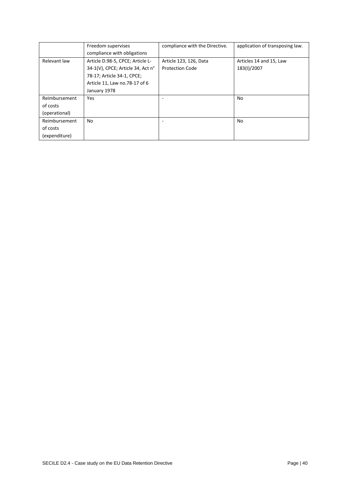|               | Freedom supervises                | compliance with the Directive. | application of transposing law. |
|---------------|-----------------------------------|--------------------------------|---------------------------------|
|               | compliance with obligations       |                                |                                 |
| Relevant law  | Article D.98-5, CPCE; Article L-  | Article 123, 126, Data         | Articles 14 and 15, Law         |
|               | 34-1(V), CPCE; Article 34, Act n° | <b>Protection Code</b>         | 183(I)/2007                     |
|               | 78-17; Article 34-1, CPCE;        |                                |                                 |
|               | Article 11, Law no.78-17 of 6     |                                |                                 |
|               | January 1978                      |                                |                                 |
| Reimbursement | Yes                               |                                | No                              |
| of costs      |                                   |                                |                                 |
| (operational) |                                   |                                |                                 |
| Reimbursement | No                                |                                | No                              |
| of costs      |                                   |                                |                                 |
| (expenditure) |                                   |                                |                                 |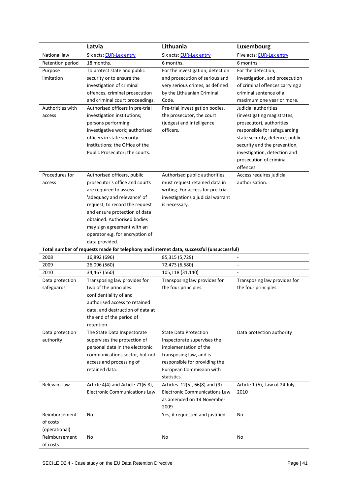|                  | Latvia                                                                                   | Lithuania                            | Luxembourg                      |
|------------------|------------------------------------------------------------------------------------------|--------------------------------------|---------------------------------|
| National law     | Six acts: EUR-Lex entry                                                                  | Six acts: EUR-Lex entry              | Five acts: EUR-Lex entry        |
| Retention period | 18 months.                                                                               | 6 months.                            | 6 months.                       |
| Purpose          | To protect state and public                                                              | For the investigation, detection     | For the detection,              |
| limitation       | security or to ensure the                                                                | and prosecution of serious and       | investigation, and prosecution  |
|                  | investigation of criminal                                                                | very serious crimes, as defined      | of criminal offences carrying a |
|                  | offences, criminal prosecution                                                           | by the Lithuanian Criminal           | criminal sentence of a          |
|                  | and criminal court proceedings.                                                          | Code.                                | maximum one year or more.       |
| Authorities with | Authorised officers in pre-trial                                                         | Pre-trial investigation bodies,      | Judicial authorities            |
| access           | investigation institutions;                                                              | the prosecutor, the court            | (investigating magistrates,     |
|                  | persons performing                                                                       | (judges) and intelligence            | prosecutor), authorities        |
|                  | investigative work; authorised                                                           | officers.                            | responsible for safeguarding    |
|                  | officers in state security                                                               |                                      | state security, defence, public |
|                  | institutions; the Office of the                                                          |                                      | security and the prevention,    |
|                  | Public Prosecutor; the courts.                                                           |                                      | investigation, detection and    |
|                  |                                                                                          |                                      | prosecution of criminal         |
|                  |                                                                                          |                                      | offences.                       |
| Procedures for   | Authorised officers, public                                                              | Authorised public authorities        | Access requires judicial        |
| access           | prosecutor's office and courts                                                           | must request retained data in        | authorisation.                  |
|                  | are required to assess                                                                   | writing. For access for pre-trial    |                                 |
|                  | 'adequacy and relevance' of                                                              | investigations a judicial warrant    |                                 |
|                  | request, to record the request                                                           | is necessary.                        |                                 |
|                  | and ensure protection of data                                                            |                                      |                                 |
|                  | obtained. Authorised bodies                                                              |                                      |                                 |
|                  | may sign agreement with an                                                               |                                      |                                 |
|                  | operator e.g. for encryption of                                                          |                                      |                                 |
|                  | data provided.                                                                           |                                      |                                 |
|                  | Total number of requests made for telephony and internet data, successful (unsuccessful) |                                      |                                 |
| 2008             | 16,892 (696)                                                                             | 85,315 (5,729)                       |                                 |
| 2009             | 26,096 (560)                                                                             | 72,473 (6,580)                       | $\overline{a}$                  |
| 2010             | 34,467 (560)                                                                             | 105,118 (31,140)                     | $\overline{a}$                  |
| Data protection  | Transposing law provides for                                                             | Transposing law provides for         | Transposing law provides for    |
| safeguards       | two of the principles:                                                                   | the four principles.                 | the four principles.            |
|                  | confidentiality of and<br>authorised access to retained                                  |                                      |                                 |
|                  | data, and destruction of data at                                                         |                                      |                                 |
|                  | the end of the period of                                                                 |                                      |                                 |
|                  | retention                                                                                |                                      |                                 |
| Data protection  | The State Data Inspectorate                                                              | <b>State Data Protection</b>         | Data protection authority       |
| authority        | supervises the protection of                                                             | Inspectorate supervises the          |                                 |
|                  | personal data in the electronic                                                          | implementation of the                |                                 |
|                  | communications sector, but not                                                           | transposing law, and is              |                                 |
|                  | access and processing of                                                                 | responsible for providing the        |                                 |
|                  | retained data.                                                                           | European Commission with             |                                 |
|                  |                                                                                          | statistics.                          |                                 |
| Relevant law     | Article 4(4) and Article 71(6-8),                                                        | Articles. 12(5), 66(8) and (9)       | Article 1 (5), Law of 24 July   |
|                  | <b>Electronic Communications Law</b>                                                     | <b>Electronic Communications Law</b> | 2010                            |
|                  |                                                                                          | as amended on 14 November            |                                 |
|                  |                                                                                          | 2009                                 |                                 |
| Reimbursement    | No                                                                                       | Yes, if requested and justified.     | No                              |
| of costs         |                                                                                          |                                      |                                 |
| (operational)    |                                                                                          |                                      |                                 |
| Reimbursement    | No                                                                                       | No                                   | No                              |
| of costs         |                                                                                          |                                      |                                 |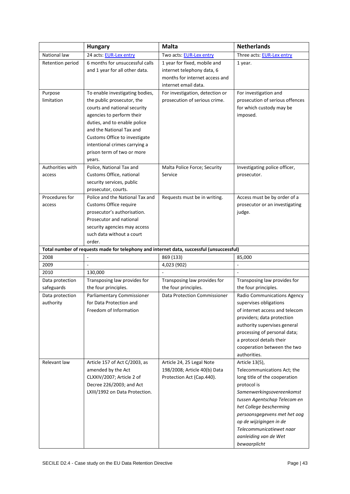|                  | <b>Hungary</b>                                                                           | <b>Malta</b>                    | <b>Netherlands</b>                                |
|------------------|------------------------------------------------------------------------------------------|---------------------------------|---------------------------------------------------|
| National law     | 24 acts: EUR-Lex entry                                                                   | Two acts: EUR-Lex entry         | Three acts: EUR-Lex entry                         |
| Retention period | 6 months for unsuccessful calls                                                          | 1 year for fixed, mobile and    | 1 year.                                           |
|                  | and 1 year for all other data.                                                           | internet telephony data, 6      |                                                   |
|                  |                                                                                          | months for internet access and  |                                                   |
|                  |                                                                                          | internet email data.            |                                                   |
| Purpose          | To enable investigating bodies,                                                          | For investigation, detection or | For investigation and                             |
| limitation       | the public prosecutor, the                                                               | prosecution of serious crime.   | prosecution of serious offences                   |
|                  | courts and national security<br>agencies to perform their                                |                                 | for which custody may be                          |
|                  | duties, and to enable police                                                             |                                 | imposed.                                          |
|                  | and the National Tax and                                                                 |                                 |                                                   |
|                  | Customs Office to investigate                                                            |                                 |                                                   |
|                  | intentional crimes carrying a                                                            |                                 |                                                   |
|                  | prison term of two or more                                                               |                                 |                                                   |
|                  | years.                                                                                   |                                 |                                                   |
| Authorities with | Police, National Tax and                                                                 | Malta Police Force; Security    | Investigating police officer,                     |
| access           | Customs Office, national                                                                 | Service                         | prosecutor.                                       |
|                  | security services, public                                                                |                                 |                                                   |
|                  | prosecutor, courts.                                                                      |                                 |                                                   |
| Procedures for   | Police and the National Tax and                                                          | Requests must be in writing.    | Access must be by order of a                      |
| access           | Customs Office require                                                                   |                                 | prosecutor or an investigating                    |
|                  | prosecutor's authorisation.                                                              |                                 | judge.                                            |
|                  | Prosecutor and national                                                                  |                                 |                                                   |
|                  | security agencies may access<br>such data without a court                                |                                 |                                                   |
|                  | order.                                                                                   |                                 |                                                   |
|                  | Total number of requests made for telephony and internet data, successful (unsuccessful) |                                 |                                                   |
| 2008             |                                                                                          | 869 (133)                       | 85,000                                            |
| 2009             | $\overline{a}$                                                                           | 4,023 (902)                     |                                                   |
| 2010             | 130,000                                                                                  |                                 | $\sim$                                            |
| Data protection  | Transposing law provides for                                                             | Transposing law provides for    | Transposing law provides for                      |
| safeguards       | the four principles.                                                                     | the four principles.            | the four principles.                              |
| Data protection  | Parliamentary Commissioner                                                               | Data Protection Commissioner    | Radio Communications Agency                       |
| authority        | for Data Protection and                                                                  |                                 | supervises obligations                            |
|                  | Freedom of Information                                                                   |                                 | of internet access and telecom                    |
|                  |                                                                                          |                                 |                                                   |
|                  |                                                                                          |                                 | providers; data protection                        |
|                  |                                                                                          |                                 | authority supervises general                      |
|                  |                                                                                          |                                 | processing of personal data;                      |
|                  |                                                                                          |                                 | a protocol details their                          |
|                  |                                                                                          |                                 | cooperation between the two                       |
| Relevant law     |                                                                                          | Article 24, 25 Legal Note       | authorities.                                      |
|                  | Article 157 of Act C/2003, as<br>amended by the Act                                      | 198/2008; Article 40(b) Data    | Article 13(5),<br>Telecommunications Act; the     |
|                  | CLXXIV/2007; Article 2 of                                                                | Protection Act (Cap.440).       | long title of the cooperation                     |
|                  | Decree 226/2003; and Act                                                                 |                                 | protocol is                                       |
|                  | LXIII/1992 on Data Protection.                                                           |                                 | Samenwerkingsovereenkomst                         |
|                  |                                                                                          |                                 | tussen Agentschap Telecom en                      |
|                  |                                                                                          |                                 | het College bescherming                           |
|                  |                                                                                          |                                 | persoonsgegevens met het oog                      |
|                  |                                                                                          |                                 | op de wijzigingen in de                           |
|                  |                                                                                          |                                 | Telecommunicatiewet naar<br>aanleiding van de Wet |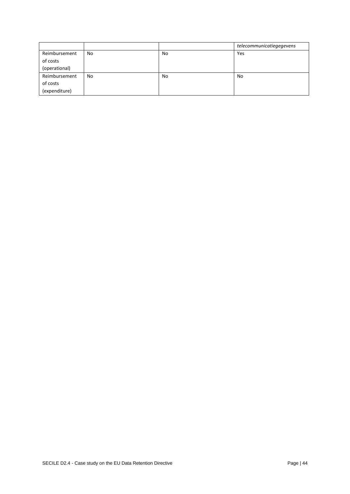|               |    |    | telecommunicatiegegevens |
|---------------|----|----|--------------------------|
| Reimbursement | No | No | Yes                      |
| of costs      |    |    |                          |
| (operational) |    |    |                          |
| Reimbursement | No | No | No                       |
| of costs      |    |    |                          |
| (expenditure) |    |    |                          |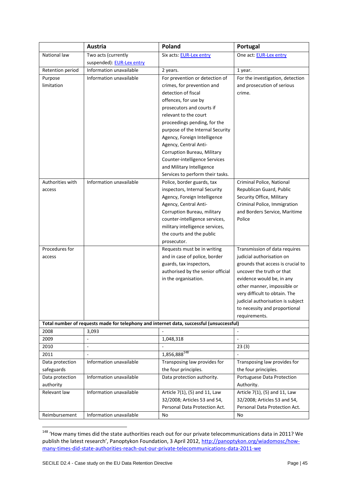|                  | <b>Austria</b>            | Poland                                                                                   | Portugal                          |
|------------------|---------------------------|------------------------------------------------------------------------------------------|-----------------------------------|
| National law     | Two acts (currently       | Six acts: EUR-Lex entry                                                                  | One act: EUR-Lex entry            |
|                  | suspended): EUR-Lex entry |                                                                                          |                                   |
| Retention period | Information unavailable   | 2 years.                                                                                 | 1 year.                           |
| Purpose          | Information unavailable   | For prevention or detection of                                                           | For the investigation, detection  |
| limitation       |                           | crimes, for prevention and                                                               | and prosecution of serious        |
|                  |                           | detection of fiscal                                                                      | crime.                            |
|                  |                           | offences, for use by                                                                     |                                   |
|                  |                           | prosecutors and courts if                                                                |                                   |
|                  |                           | relevant to the court                                                                    |                                   |
|                  |                           | proceedings pending, for the                                                             |                                   |
|                  |                           | purpose of the Internal Security                                                         |                                   |
|                  |                           | Agency, Foreign Intelligence                                                             |                                   |
|                  |                           | Agency, Central Anti-                                                                    |                                   |
|                  |                           | Corruption Bureau, Military                                                              |                                   |
|                  |                           | Counter-intelligence Services                                                            |                                   |
|                  |                           | and Military Intelligence                                                                |                                   |
|                  |                           | Services to perform their tasks.                                                         |                                   |
| Authorities with | Information unavailable   | Police, border guards, tax                                                               | Criminal Police, National         |
| access           |                           | inspectors, Internal Security                                                            | Republican Guard, Public          |
|                  |                           | Agency, Foreign Intelligence                                                             | Security Office, Military         |
|                  |                           | Agency, Central Anti-                                                                    | Criminal Police, Immigration      |
|                  |                           | Corruption Bureau, military                                                              | and Borders Service, Maritime     |
|                  |                           | counter-intelligence services,                                                           | Police                            |
|                  |                           | military intelligence services,                                                          |                                   |
|                  |                           | the courts and the public                                                                |                                   |
|                  |                           | prosecutor.                                                                              |                                   |
| Procedures for   |                           | Requests must be in writing                                                              | Transmission of data requires     |
| access           |                           | and in case of police, border                                                            | judicial authorisation on         |
|                  |                           | guards, tax inspectors,                                                                  | grounds that access is crucial to |
|                  |                           | authorised by the senior official                                                        | uncover the truth or that         |
|                  |                           | in the organisation.                                                                     | evidence would be, in any         |
|                  |                           |                                                                                          | other manner, impossible or       |
|                  |                           |                                                                                          | very difficult to obtain. The     |
|                  |                           |                                                                                          | judicial authorisation is subject |
|                  |                           |                                                                                          | to necessity and proportional     |
|                  |                           |                                                                                          | requirements.                     |
|                  |                           | Total number of requests made for telephony and internet data, successful (unsuccessful) |                                   |
| 2008             | 3,093                     |                                                                                          |                                   |
| 2009             | $\overline{a}$            | 1,048,318                                                                                | L.                                |
| 2010             | ÷,                        |                                                                                          | 23(3)                             |
| 2011             | ÷,                        | 1,856,888 <sup>148</sup>                                                                 |                                   |
| Data protection  | Information unavailable   | Transposing law provides for                                                             | Transposing law provides for      |
| safeguards       |                           | the four principles.                                                                     | the four principles.              |
| Data protection  | Information unavailable   | Data protection authority.                                                               | Portuguese Data Protection        |
| authority        |                           |                                                                                          | Authority.                        |
| Relevant law     | Information unavailable   | Article 7(1), (5) and 11, Law                                                            | Article 7(1), (5) and 11, Law     |
|                  |                           | 32/2008; Articles 53 and 54,                                                             | 32/2008; Articles 53 and 54,      |
|                  |                           | Personal Data Protection Act.                                                            | Personal Data Protection Act.     |
| Reimbursement    | Information unavailable   | No                                                                                       | No                                |

**<sup>.</sup>** <sup>148</sup> 'How many times did the state authorities reach out for our private telecommunications data in 2011? We publish the latest research', Panoptykon Foundation, 3 April 2012, [http://panoptykon.org/wiadomosc/how](http://panoptykon.org/wiadomosc/how-many-times-did-state-authorities-reach-out-our-private-telecommunications-data-2011-we)[many-times-did-state-authorities-reach-out-our-private-telecommunications-data-2011-we](http://panoptykon.org/wiadomosc/how-many-times-did-state-authorities-reach-out-our-private-telecommunications-data-2011-we)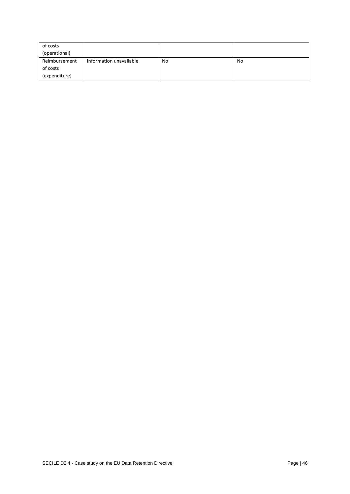| of costs      |                         |    |           |
|---------------|-------------------------|----|-----------|
| (operational) |                         |    |           |
| Reimbursement | Information unavailable | No | <b>No</b> |
| of costs      |                         |    |           |
| (expenditure) |                         |    |           |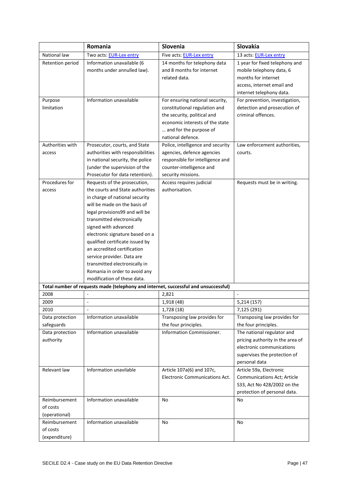|                                                                       | Romania                                                                                                                                                                                                                                                                                                                                                                                                                                                        | Slovenia                                                                                                                                                                          | Slovakia                                                                                                                                                                                           |
|-----------------------------------------------------------------------|----------------------------------------------------------------------------------------------------------------------------------------------------------------------------------------------------------------------------------------------------------------------------------------------------------------------------------------------------------------------------------------------------------------------------------------------------------------|-----------------------------------------------------------------------------------------------------------------------------------------------------------------------------------|----------------------------------------------------------------------------------------------------------------------------------------------------------------------------------------------------|
| National law                                                          | Two acts: EUR-Lex entry                                                                                                                                                                                                                                                                                                                                                                                                                                        | Five acts: EUR-Lex entry                                                                                                                                                          | 13 acts: EUR-Lex entry                                                                                                                                                                             |
| Retention period                                                      | Information unavailable (6<br>months under annulled law).                                                                                                                                                                                                                                                                                                                                                                                                      | 14 months for telephony data<br>and 8 months for internet<br>related data.                                                                                                        | 1 year for fixed telephony and<br>mobile telephony data, 6<br>months for internet<br>access, internet email and<br>internet telephony data.                                                        |
| Purpose<br>limitation                                                 | Information unavailable                                                                                                                                                                                                                                                                                                                                                                                                                                        | For ensuring national security,<br>constitutional regulation and<br>the security, political and<br>economic interests of the state<br>and for the purpose of<br>national defence. | For prevention, investigation,<br>detection and prosecution of<br>criminal offences.                                                                                                               |
| Authorities with<br>access                                            | Prosecutor, courts, and State<br>authorities with responsibilities<br>in national security, the police<br>(under the supervision of the<br>Prosecutor for data retention).                                                                                                                                                                                                                                                                                     | Police, intelligence and security<br>agencies, defence agencies<br>responsible for intelligence and<br>counter-intelligence and<br>security missions.                             | Law enforcement authorities,<br>courts.                                                                                                                                                            |
| Procedures for<br>access                                              | Requests of the prosecution,<br>the courts and State authorities<br>in charge of national security<br>will be made on the basis of<br>legal provisions99 and will be<br>transmitted electronically<br>signed with advanced<br>electronic signature based on a<br>qualified certificate issued by<br>an accredited certification<br>service provider. Data are<br>transmitted electronically in<br>Romania in order to avoid any<br>modification of these data. | Access requires judicial<br>authorisation.                                                                                                                                        | Requests must be in writing.                                                                                                                                                                       |
|                                                                       | Total number of requests made (telephony and internet, successful and unsuccessful)                                                                                                                                                                                                                                                                                                                                                                            |                                                                                                                                                                                   |                                                                                                                                                                                                    |
| 2008                                                                  |                                                                                                                                                                                                                                                                                                                                                                                                                                                                | 2,821                                                                                                                                                                             |                                                                                                                                                                                                    |
| 2009                                                                  | ÷,                                                                                                                                                                                                                                                                                                                                                                                                                                                             | 1,918 (48)                                                                                                                                                                        | 5,214 (157)                                                                                                                                                                                        |
| 2010<br>Data protection<br>safeguards<br>Data protection<br>authority | $\overline{a}$<br>Information unavailable<br>Information unavailable                                                                                                                                                                                                                                                                                                                                                                                           | 1,728 (18)<br>Transposing law provides for<br>the four principles.<br>Information Commissioner.                                                                                   | 7,125 (291)<br>Transposing law provides for<br>the four principles.<br>The national regulator and<br>pricing authority in the area of<br>electronic communications<br>supervises the protection of |
| Relevant law<br>Reimbursement                                         | Information unavilable<br>Information unavailable                                                                                                                                                                                                                                                                                                                                                                                                              | Article 107a(6) and 107c,<br>Electronic Communications Act.<br><b>No</b>                                                                                                          | personal data<br>Article 59a, Electronic<br>Communications Act; Article<br>S33, Act No 428/2002 on the<br>protection of personal data.<br>No                                                       |
| of costs<br>(operational)                                             |                                                                                                                                                                                                                                                                                                                                                                                                                                                                |                                                                                                                                                                                   |                                                                                                                                                                                                    |
| Reimbursement<br>of costs<br>(expenditure)                            | Information unavailable                                                                                                                                                                                                                                                                                                                                                                                                                                        | No                                                                                                                                                                                | No                                                                                                                                                                                                 |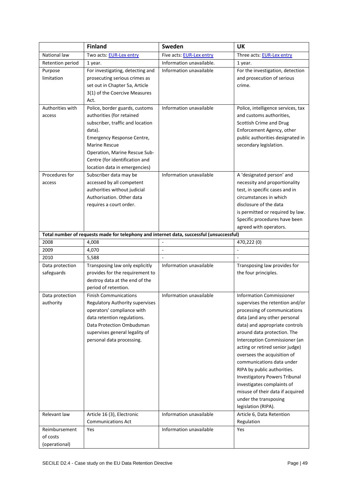|                  | <b>Finland</b>                                                                           | Sweden                   | <b>UK</b>                                                      |
|------------------|------------------------------------------------------------------------------------------|--------------------------|----------------------------------------------------------------|
| National law     | Two acts: EUR-Lex entry                                                                  | Five acts: EUR-Lex entry | Three acts: EUR-Lex entry                                      |
| Retention period | 1 year.                                                                                  | Information unavailable. | 1 year.                                                        |
| Purpose          | For investigating, detecting and                                                         | Information unavailable  | For the investigation, detection                               |
| limitation       | prosecuting serious crimes as                                                            |                          | and prosecution of serious                                     |
|                  | set out in Chapter 5a, Article                                                           |                          | crime.                                                         |
|                  | 3(1) of the Coercive Measures                                                            |                          |                                                                |
|                  | Act.                                                                                     |                          |                                                                |
| Authorities with | Police, border guards, customs                                                           | Information unavailable  | Police, intelligence services, tax                             |
| access           | authorities (for retained                                                                |                          | and customs authorities,                                       |
|                  | subscriber, traffic and location                                                         |                          | Scottish Crime and Drug                                        |
|                  | data).                                                                                   |                          | Enforcement Agency, other                                      |
|                  | Emergency Response Centre,                                                               |                          | public authorities designated in                               |
|                  | <b>Marine Rescue</b>                                                                     |                          | secondary legislation.                                         |
|                  | Operation, Marine Rescue Sub-                                                            |                          |                                                                |
|                  | Centre (for identification and<br>location data in emergencies)                          |                          |                                                                |
| Procedures for   | Subscriber data may be                                                                   | Information unavailable  | A 'designated person' and                                      |
| access           | accessed by all competent                                                                |                          | necessity and proportionality                                  |
|                  | authorities without judicial                                                             |                          | test, in specific cases and in                                 |
|                  | Authorisation. Other data                                                                |                          | circumstances in which                                         |
|                  | requires a court order.                                                                  |                          | disclosure of the data                                         |
|                  |                                                                                          |                          | is permitted or required by law.                               |
|                  |                                                                                          |                          | Specific procedures have been                                  |
|                  |                                                                                          |                          | agreed with operators.                                         |
|                  | Total number of requests made for telephony and internet data, successful (unsuccessful) |                          |                                                                |
| 2008             | 4,008                                                                                    |                          | 470,222 (0)                                                    |
| 2009             | 4,070                                                                                    | L,                       | $\overline{a}$                                                 |
| 2010             | 5,588                                                                                    |                          |                                                                |
| Data protection  | Transposing law only explicitly                                                          | Information unavailable  | Transposing law provides for                                   |
| safeguards       | provides for the requirement to                                                          |                          | the four principles.                                           |
|                  | destroy data at the end of the                                                           |                          |                                                                |
|                  | period of retention.                                                                     |                          |                                                                |
| Data protection  | <b>Finish Communications</b>                                                             | Information unavailable  | <b>Information Commissioner</b>                                |
| authority        | Regulatory Authority supervises                                                          |                          | supervises the retention and/or                                |
|                  | operators' compliance with                                                               |                          | processing of communications                                   |
|                  | data retention regulations.                                                              |                          | data (and any other personal                                   |
|                  | Data Protection Ombudsman                                                                |                          | data) and appropriate controls                                 |
|                  | supervises general legality of                                                           |                          | around data protection. The                                    |
|                  | personal data processing.                                                                |                          | Interception Commissioner (an                                  |
|                  |                                                                                          |                          | acting or retired senior judge)<br>oversees the acquisition of |
|                  |                                                                                          |                          | communications data under                                      |
|                  |                                                                                          |                          | RIPA by public authorities.                                    |
|                  |                                                                                          |                          | Investigatory Powers Tribunal                                  |
|                  |                                                                                          |                          | investigates complaints of                                     |
|                  |                                                                                          |                          | misuse of their data if acquired                               |
|                  |                                                                                          |                          | under the transposing                                          |
|                  |                                                                                          |                          | legislation (RIPA).                                            |
| Relevant law     | Article 16 (3), Electronic                                                               | Information unavailable  | Article 6, Data Retention                                      |
|                  | <b>Communications Act</b>                                                                |                          | Regulation                                                     |
| Reimbursement    | Yes                                                                                      | Information unavailable  | Yes                                                            |
| of costs         |                                                                                          |                          |                                                                |
| (operational)    |                                                                                          |                          |                                                                |